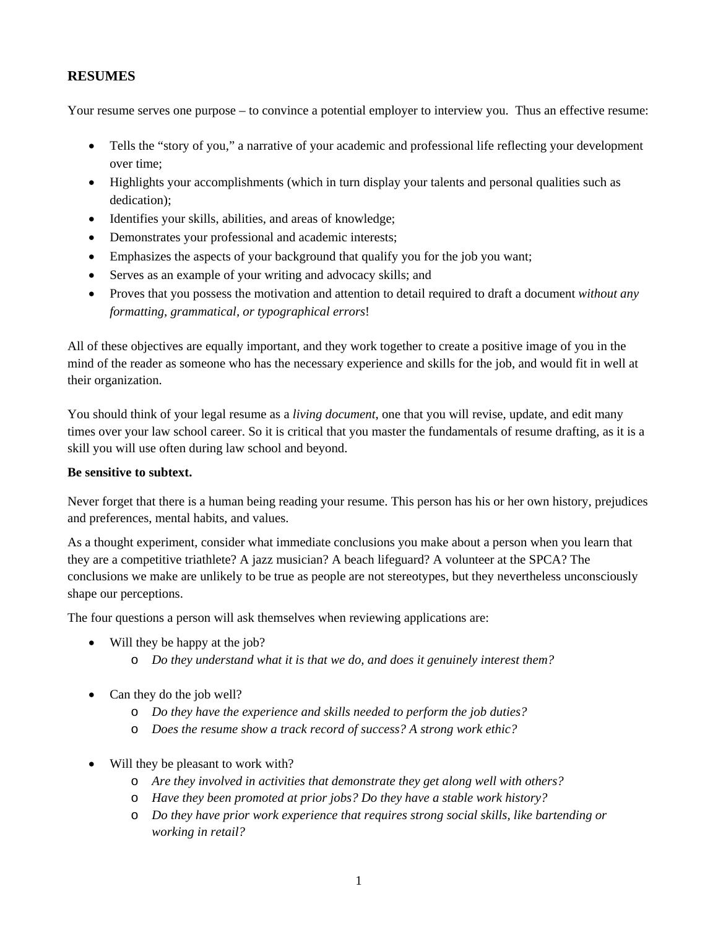# **RESUMES**

Your resume serves one purpose – to convince a potential employer to interview you. Thus an effective resume:

- Tells the "story of you," a narrative of your academic and professional life reflecting your development over time;
- Highlights your accomplishments (which in turn display your talents and personal qualities such as dedication);
- Identifies your skills, abilities, and areas of knowledge;
- Demonstrates your professional and academic interests;
- Emphasizes the aspects of your background that qualify you for the job you want;
- Serves as an example of your writing and advocacy skills; and
- Proves that you possess the motivation and attention to detail required to draft a document *without any formatting, grammatical, or typographical errors*!

All of these objectives are equally important, and they work together to create a positive image of you in the mind of the reader as someone who has the necessary experience and skills for the job, and would fit in well at their organization.

You should think of your legal resume as a *living document*, one that you will revise, update, and edit many times over your law school career. So it is critical that you master the fundamentals of resume drafting, as it is a skill you will use often during law school and beyond.

## **Be sensitive to subtext.**

Never forget that there is a human being reading your resume. This person has his or her own history, prejudices and preferences, mental habits, and values.

As a thought experiment, consider what immediate conclusions you make about a person when you learn that they are a competitive triathlete? A jazz musician? A beach lifeguard? A volunteer at the SPCA? The conclusions we make are unlikely to be true as people are not stereotypes, but they nevertheless unconsciously shape our perceptions.

The four questions a person will ask themselves when reviewing applications are:

- Will they be happy at the job?
	- o *Do they understand what it is that we do, and does it genuinely interest them?*
- Can they do the job well?
	- o *Do they have the experience and skills needed to perform the job duties?*
	- o *Does the resume show a track record of success? A strong work ethic?*
- Will they be pleasant to work with?
	- o *Are they involved in activities that demonstrate they get along well with others?*
	- o *Have they been promoted at prior jobs? Do they have a stable work history?*
	- o *Do they have prior work experience that requires strong social skills, like bartending or working in retail?*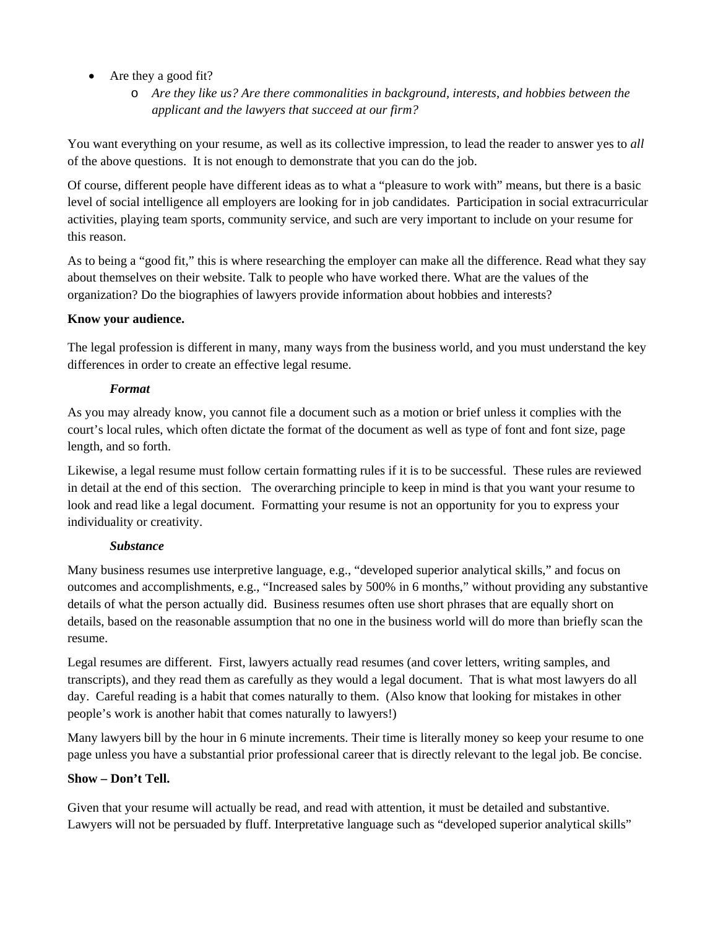- Are they a good fit?
	- o *Are they like us? Are there commonalities in background, interests, and hobbies between the applicant and the lawyers that succeed at our firm?*

You want everything on your resume, as well as its collective impression, to lead the reader to answer yes to *all* of the above questions. It is not enough to demonstrate that you can do the job.

Of course, different people have different ideas as to what a "pleasure to work with" means, but there is a basic level of social intelligence all employers are looking for in job candidates. Participation in social extracurricular activities, playing team sports, community service, and such are very important to include on your resume for this reason.

As to being a "good fit," this is where researching the employer can make all the difference. Read what they say about themselves on their website. Talk to people who have worked there. What are the values of the organization? Do the biographies of lawyers provide information about hobbies and interests?

# **Know your audience.**

The legal profession is different in many, many ways from the business world, and you must understand the key differences in order to create an effective legal resume.

# *Format*

As you may already know, you cannot file a document such as a motion or brief unless it complies with the court's local rules, which often dictate the format of the document as well as type of font and font size, page length, and so forth.

Likewise, a legal resume must follow certain formatting rules if it is to be successful. These rules are reviewed in detail at the end of this section. The overarching principle to keep in mind is that you want your resume to look and read like a legal document. Formatting your resume is not an opportunity for you to express your individuality or creativity.

# *Substance*

Many business resumes use interpretive language, e.g., "developed superior analytical skills," and focus on outcomes and accomplishments, e.g., "Increased sales by 500% in 6 months," without providing any substantive details of what the person actually did. Business resumes often use short phrases that are equally short on details, based on the reasonable assumption that no one in the business world will do more than briefly scan the resume.

Legal resumes are different. First, lawyers actually read resumes (and cover letters, writing samples, and transcripts), and they read them as carefully as they would a legal document. That is what most lawyers do all day. Careful reading is a habit that comes naturally to them. (Also know that looking for mistakes in other people's work is another habit that comes naturally to lawyers!)

Many lawyers bill by the hour in 6 minute increments. Their time is literally money so keep your resume to one page unless you have a substantial prior professional career that is directly relevant to the legal job. Be concise.

# **Show – Don't Tell.**

Given that your resume will actually be read, and read with attention, it must be detailed and substantive. Lawyers will not be persuaded by fluff. Interpretative language such as "developed superior analytical skills"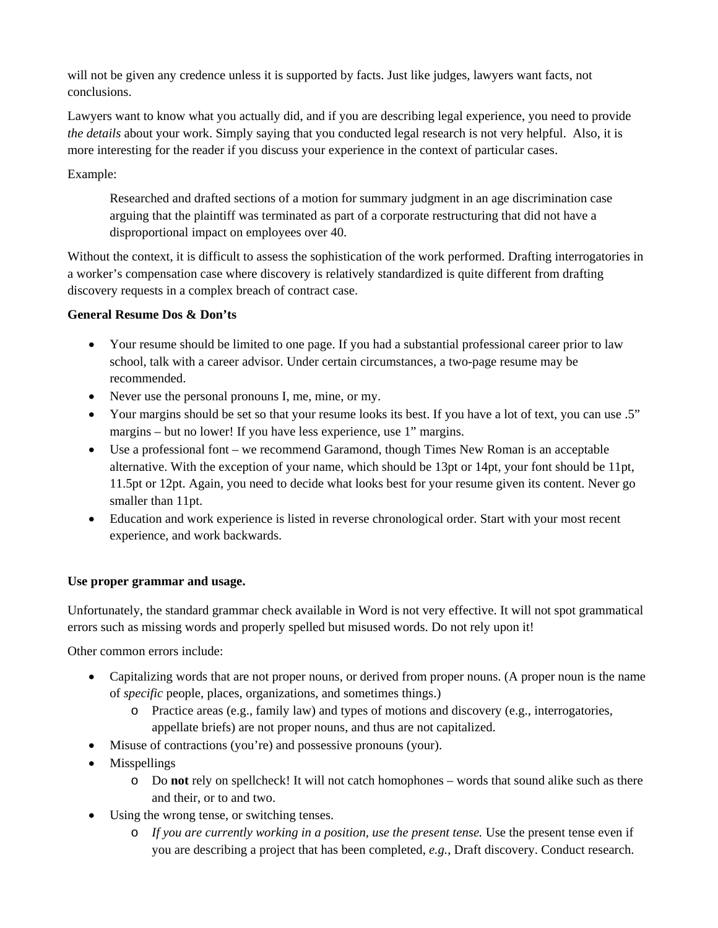will not be given any credence unless it is supported by facts. Just like judges, lawyers want facts, not conclusions.

Lawyers want to know what you actually did, and if you are describing legal experience, you need to provide *the details* about your work. Simply saying that you conducted legal research is not very helpful. Also, it is more interesting for the reader if you discuss your experience in the context of particular cases.

# Example:

Researched and drafted sections of a motion for summary judgment in an age discrimination case arguing that the plaintiff was terminated as part of a corporate restructuring that did not have a disproportional impact on employees over 40.

Without the context, it is difficult to assess the sophistication of the work performed. Drafting interrogatories in a worker's compensation case where discovery is relatively standardized is quite different from drafting discovery requests in a complex breach of contract case.

# **General Resume Dos & Don'ts**

- Your resume should be limited to one page. If you had a substantial professional career prior to law school, talk with a career advisor. Under certain circumstances, a two-page resume may be recommended.
- Never use the personal pronouns I, me, mine, or my.
- Your margins should be set so that your resume looks its best. If you have a lot of text, you can use .5" margins – but no lower! If you have less experience, use 1" margins.
- Use a professional font we recommend Garamond, though Times New Roman is an acceptable alternative. With the exception of your name, which should be 13pt or 14pt, your font should be 11pt, 11.5pt or 12pt. Again, you need to decide what looks best for your resume given its content. Never go smaller than 11pt.
- Education and work experience is listed in reverse chronological order. Start with your most recent experience, and work backwards.

# **Use proper grammar and usage.**

Unfortunately, the standard grammar check available in Word is not very effective. It will not spot grammatical errors such as missing words and properly spelled but misused words. Do not rely upon it!

Other common errors include:

- Capitalizing words that are not proper nouns, or derived from proper nouns. (A proper noun is the name of *specific* people, places, organizations, and sometimes things.)
	- o Practice areas (e.g., family law) and types of motions and discovery (e.g., interrogatories, appellate briefs) are not proper nouns, and thus are not capitalized.
- Misuse of contractions (you're) and possessive pronouns (your).
- Misspellings
	- o Do **not** rely on spellcheck! It will not catch homophones words that sound alike such as there and their, or to and two.
- Using the wrong tense, or switching tenses.
	- o *If you are currently working in a position, use the present tense.* Use the present tense even if you are describing a project that has been completed, *e.g.*, Draft discovery. Conduct research.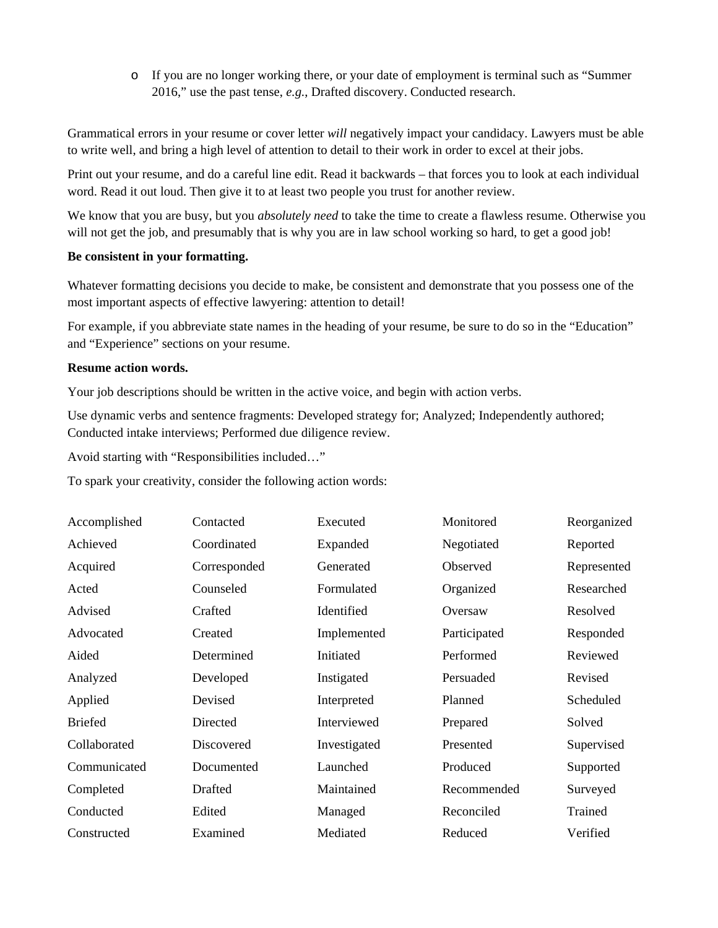o If you are no longer working there, or your date of employment is terminal such as "Summer 2016," use the past tense, *e.g.*, Drafted discovery. Conducted research.

Grammatical errors in your resume or cover letter *will* negatively impact your candidacy. Lawyers must be able to write well, and bring a high level of attention to detail to their work in order to excel at their jobs.

Print out your resume, and do a careful line edit. Read it backwards – that forces you to look at each individual word. Read it out loud. Then give it to at least two people you trust for another review.

We know that you are busy, but you *absolutely need* to take the time to create a flawless resume. Otherwise you will not get the job, and presumably that is why you are in law school working so hard, to get a good job!

# **Be consistent in your formatting.**

Whatever formatting decisions you decide to make, be consistent and demonstrate that you possess one of the most important aspects of effective lawyering: attention to detail!

For example, if you abbreviate state names in the heading of your resume, be sure to do so in the "Education" and "Experience" sections on your resume.

## **Resume action words.**

Your job descriptions should be written in the active voice, and begin with action verbs.

Use dynamic verbs and sentence fragments: Developed strategy for; Analyzed; Independently authored; Conducted intake interviews; Performed due diligence review.

Avoid starting with "Responsibilities included…"

To spark your creativity, consider the following action words:

| Accomplished   | Contacted    | Executed     | Monitored    | Reorganized |
|----------------|--------------|--------------|--------------|-------------|
| Achieved       | Coordinated  | Expanded     | Negotiated   | Reported    |
| Acquired       | Corresponded | Generated    | Observed     | Represented |
| Acted          | Counseled    | Formulated   | Organized    | Researched  |
| Advised        | Crafted      | Identified   | Oversaw      | Resolved    |
| Advocated      | Created      | Implemented  | Participated | Responded   |
| Aided          | Determined   | Initiated    | Performed    | Reviewed    |
| Analyzed       | Developed    | Instigated   | Persuaded    | Revised     |
| Applied        | Devised      | Interpreted  | Planned      | Scheduled   |
| <b>Briefed</b> | Directed     | Interviewed  | Prepared     | Solved      |
| Collaborated   | Discovered   | Investigated | Presented    | Supervised  |
| Communicated   | Documented   | Launched     | Produced     | Supported   |
| Completed      | Drafted      | Maintained   | Recommended  | Surveyed    |
| Conducted      | Edited       | Managed      | Reconciled   | Trained     |
| Constructed    | Examined     | Mediated     | Reduced      | Verified    |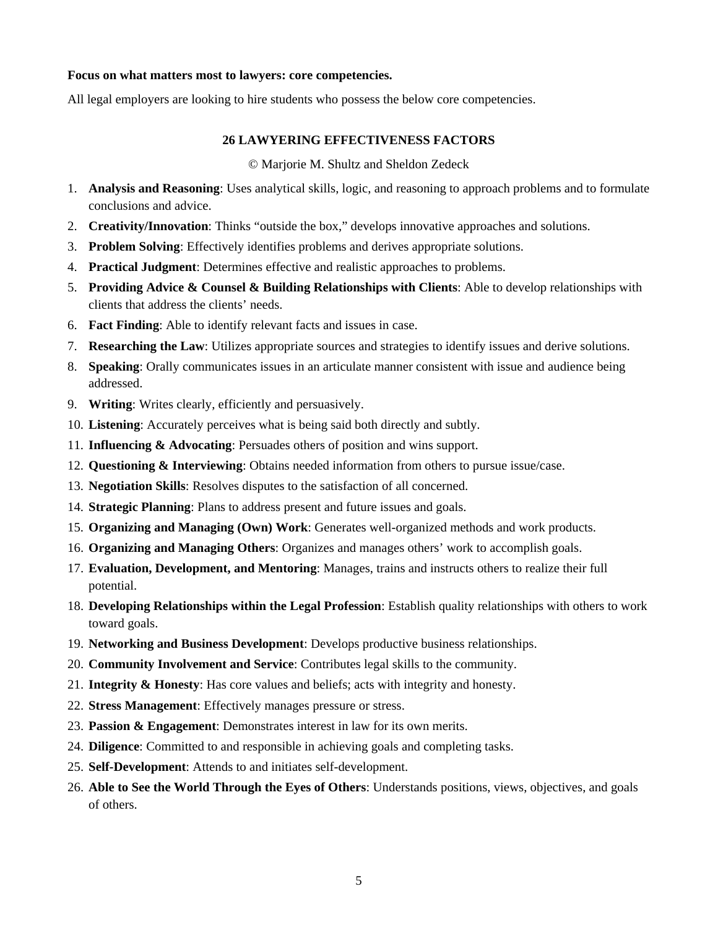## **Focus on what matters most to lawyers: core competencies.**

All legal employers are looking to hire students who possess the below core competencies.

## **26 LAWYERING EFFECTIVENESS FACTORS**

© Marjorie M. Shultz and Sheldon Zedeck

- 1. **Analysis and Reasoning**: Uses analytical skills, logic, and reasoning to approach problems and to formulate conclusions and advice.
- 2. **Creativity/Innovation**: Thinks "outside the box," develops innovative approaches and solutions.
- 3. **Problem Solving**: Effectively identifies problems and derives appropriate solutions.
- 4. **Practical Judgment**: Determines effective and realistic approaches to problems.
- 5. **Providing Advice & Counsel & Building Relationships with Clients**: Able to develop relationships with clients that address the clients' needs.
- 6. **Fact Finding**: Able to identify relevant facts and issues in case.
- 7. **Researching the Law**: Utilizes appropriate sources and strategies to identify issues and derive solutions.
- 8. **Speaking**: Orally communicates issues in an articulate manner consistent with issue and audience being addressed.
- 9. **Writing**: Writes clearly, efficiently and persuasively.
- 10. **Listening**: Accurately perceives what is being said both directly and subtly.
- 11. **Influencing & Advocating**: Persuades others of position and wins support.
- 12. **Questioning & Interviewing**: Obtains needed information from others to pursue issue/case.
- 13. **Negotiation Skills**: Resolves disputes to the satisfaction of all concerned.
- 14. **Strategic Planning**: Plans to address present and future issues and goals.
- 15. **Organizing and Managing (Own) Work**: Generates well-organized methods and work products.
- 16. **Organizing and Managing Others**: Organizes and manages others' work to accomplish goals.
- 17. **Evaluation, Development, and Mentoring**: Manages, trains and instructs others to realize their full potential.
- 18. **Developing Relationships within the Legal Profession**: Establish quality relationships with others to work toward goals.
- 19. **Networking and Business Development**: Develops productive business relationships.
- 20. **Community Involvement and Service**: Contributes legal skills to the community.
- 21. **Integrity & Honesty**: Has core values and beliefs; acts with integrity and honesty.
- 22. **Stress Management**: Effectively manages pressure or stress.
- 23. **Passion & Engagement**: Demonstrates interest in law for its own merits.
- 24. **Diligence**: Committed to and responsible in achieving goals and completing tasks.
- 25. **Self-Development**: Attends to and initiates self-development.
- 26. **Able to See the World Through the Eyes of Others**: Understands positions, views, objectives, and goals of others.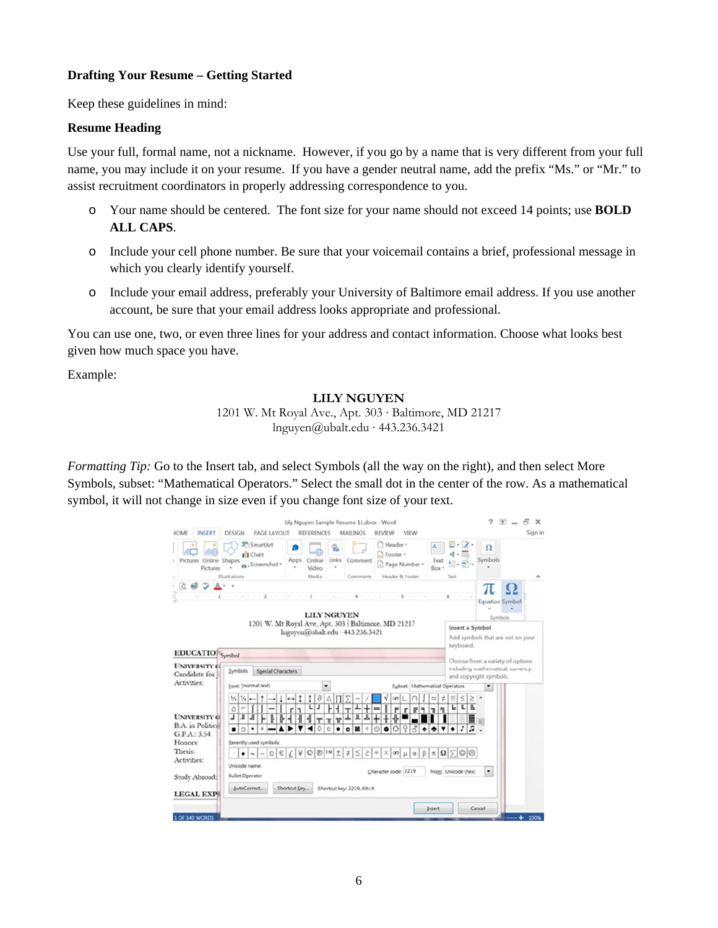# **Drafting Your Resume – Getting Started**

Keep these guidelines in mind:

## **Resume Heading**

Use your full, formal name, not a nickname. However, if you go by a name that is very different from your full name, you may include it on your resume. If you have a gender neutral name, add the prefix "Ms." or "Mr." to assist recruitment coordinators in properly addressing correspondence to you.

- o Your name should be centered. The font size for your name should not exceed 14 points; use **BOLD ALL CAPS**.
- o Include your cell phone number. Be sure that your voicemail contains a brief, professional message in which you clearly identify yourself.
- o Include your email address, preferably your University of Baltimore email address. If you use another account, be sure that your email address looks appropriate and professional.

You can use one, two, or even three lines for your address and contact information. Choose what looks best given how much space you have.

Example:

## **LILY NGUYEN**

1201 W. Mt Royal Ave., Apt. 303 · Baltimore, MD 21217 lnguyen@ubalt.edu · 443.236.3421

*Formatting Tip:* Go to the Insert tab, and select Symbols (all the way on the right), and then select More Symbols, subset: "Mathematical Operators." Select the small dot in the center of the row. As a mathematical symbol, it will not change in size even if you change font size of your text.

|                                                                                                    |                                                                                                                   |                            |                                                                      | Lily Nguyen Sample Resume 1Ldocx - Word                       |                                                                                                        |                          |                                                                | 2                                                                                               | $F - F$<br>$\times$              |
|----------------------------------------------------------------------------------------------------|-------------------------------------------------------------------------------------------------------------------|----------------------------|----------------------------------------------------------------------|---------------------------------------------------------------|--------------------------------------------------------------------------------------------------------|--------------------------|----------------------------------------------------------------|-------------------------------------------------------------------------------------------------|----------------------------------|
| <b>INSERT</b><br><b>HOME</b><br>Pictures Online Shapes<br><b>Pictures</b>                          | PAGE LAYOUT<br>DESIGN<br>SmartArt<br><b>I</b> Chart<br>a. Screenshot -                                            | Apps                       | <b>REFERENCES</b><br>(KYLEVE)<br>76<br>m<br>Links<br>Online<br>Video | MAILINGS<br>Comment                                           | VIEW<br><b>REVIEW</b><br>Header *<br>Footer *<br>Page Number -                                         | Text<br>Box <sup>+</sup> | $= -\mathbb{Z}$                                                | $\Omega$<br>Symbols                                                                             | Sign in                          |
|                                                                                                    | <b>Illustrations</b>                                                                                              |                            | Media                                                                | Comments                                                      | Header & Footer                                                                                        |                          | Text                                                           |                                                                                                 | ۸                                |
| ઝ<br>īã                                                                                            | $A - r$                                                                                                           |                            | <b>LILY NGUYEN</b>                                                   |                                                               |                                                                                                        |                          |                                                                | <b>Equation Symbol</b><br>Symbols                                                               |                                  |
| EDUCATIO Symbol                                                                                    |                                                                                                                   |                            |                                                                      | Inguven@ubalt.edu · 443.236.3421                              | 1201 W. Mt Royal Ave, Apt. 303   Baltimore, MD 21217                                                   |                          | Insert a Symbol<br>keyboard.                                   |                                                                                                 | Add symbols that are not on your |
| <b>UNIVERSITY</b><br>Candidate for<br>Activities:                                                  | Special Characters<br>Symbols<br>Eont: (normal text)                                                              |                            |                                                                      |                                                               | Subset: Mathematical Operators                                                                         |                          |                                                                | Choose from a variety of options<br>including mathematical, currency,<br>and copyright symbols. |                                  |
| <b>UNIVERSITY</b><br><b>B.A.</b> in Political<br>G.P.A.: 3.54<br>Honors:<br>Thesis:<br>Activities: | $\frac{3}{2}$ $\frac{7}{8}$ +<br>۵<br>T<br>٠<br>$\alpha$<br>∎∣о<br>Becently used symbols:<br>$\epsilon$<br>$\Box$ | 1<br>$\longleftrightarrow$ | д<br>t l<br>Δ<br>Ö<br>$@$ TM                                         | ∸<br>ᅭ<br>÷<br>$\Box$<br>ö.<br>٠<br>$\pm$<br>≤<br>≥<br>$\neq$ | $\infty$<br>ç<br>8<br>KX<br>$\odot$<br>$\bullet$<br>٠<br>ß<br>$\infty$ $\mu$ $\alpha$<br>$\times$<br>÷ |                          | π<br>F<br>÷.<br>я<br>٠<br>$\pi  \Omega  \sum  \Theta  \otimes$ |                                                                                                 |                                  |
| Study Abroad:<br><b>LEGAL EXP</b>                                                                  | Unicode name:<br><b>Bullet Operator</b><br>AutoCorrect                                                            | Shortcut Key               |                                                                      | Shortcut key: 2219. Alt . X                                   | Character code: 2219                                                                                   |                          | from: Unicode (hex)                                            | ۰                                                                                               |                                  |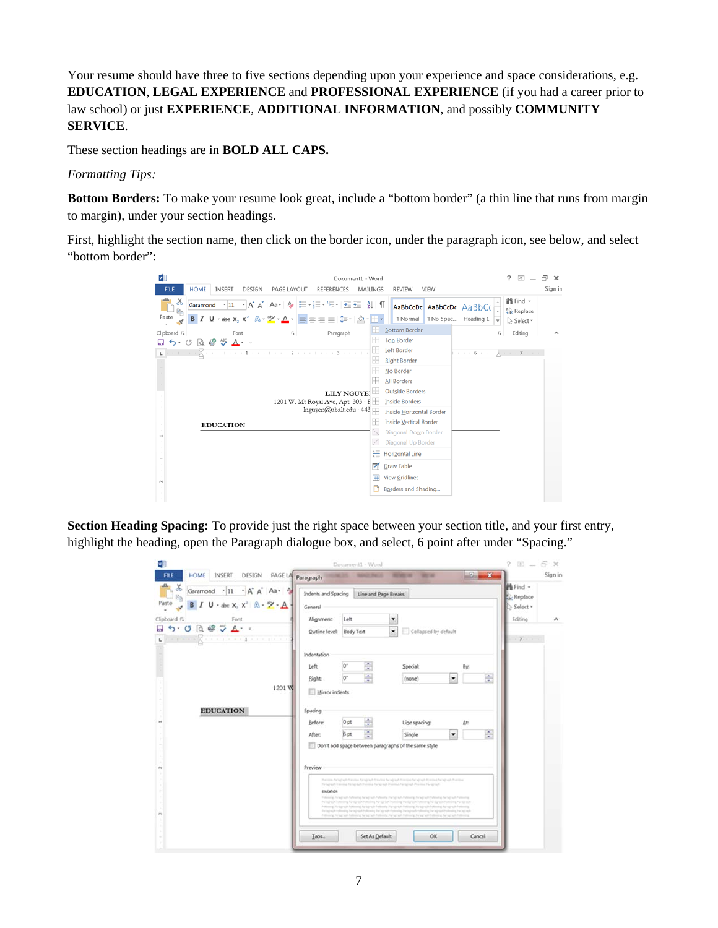Your resume should have three to five sections depending upon your experience and space considerations, e.g. **EDUCATION**, **LEGAL EXPERIENCE** and **PROFESSIONAL EXPERIENCE** (if you had a career prior to law school) or just **EXPERIENCE**, **ADDITIONAL INFORMATION**, and possibly **COMMUNITY SERVICE**.

These section headings are in **BOLD ALL CAPS.** 

*Formatting Tips:* 

**Bottom Borders:** To make your resume look great, include a "bottom border" (a thin line that runs from margin to margin), under your section headings.

First, highlight the section name, then click on the border icon, under the paragraph icon, see below, and select "bottom border":



**Section Heading Spacing:** To provide just the right space between your section title, and your first entry, highlight the heading, open the Paragraph dialogue box, and select, 6 point after under "Spacing."

| w.                                                                                                                                                                                      | Document1 - Word                                                                                                                                                                                                                                                                                                                                                                                                                                                                                                                                                                                                                                                                                                                                                                                                                                                    | $7 E - 5 X$                                            |
|-----------------------------------------------------------------------------------------------------------------------------------------------------------------------------------------|---------------------------------------------------------------------------------------------------------------------------------------------------------------------------------------------------------------------------------------------------------------------------------------------------------------------------------------------------------------------------------------------------------------------------------------------------------------------------------------------------------------------------------------------------------------------------------------------------------------------------------------------------------------------------------------------------------------------------------------------------------------------------------------------------------------------------------------------------------------------|--------------------------------------------------------|
| HOME<br>INSERT<br>DESIGN<br>FILE                                                                                                                                                        | PAGE LA Paragraph<br>$\mathbf x$                                                                                                                                                                                                                                                                                                                                                                                                                                                                                                                                                                                                                                                                                                                                                                                                                                    | Sign in                                                |
| Garamond - 11 - A A Aa - A<br>Paste<br>$I \cup \text{else } x, x' \land \text{·y - A}$                                                                                                  | Indents and Spacing<br>Line and Page Breaks                                                                                                                                                                                                                                                                                                                                                                                                                                                                                                                                                                                                                                                                                                                                                                                                                         | the Find +<br><b>Replace</b>                           |
| Clipboard r.<br>Font<br>$\Box$ 5 - 0 $\Box$ $\mathcal{Q}$ $\mathcal{Q}$ $\mathcal{Q}$ $\mathcal{Y}$ $\Delta$ - $\mathcal{Y}$<br>And the second complete the property of the second<br>L | General<br>Alignment<br>Left<br>۰<br>v.<br>Collapsed by default<br>Qutline level:<br><b>Body Text</b>                                                                                                                                                                                                                                                                                                                                                                                                                                                                                                                                                                                                                                                                                                                                                               | Select *<br>Editing<br>$\hat{\phantom{a}}$<br>$.7 - .$ |
|                                                                                                                                                                                         | Indentation<br>٥<br>Left<br>Special:<br>By:                                                                                                                                                                                                                                                                                                                                                                                                                                                                                                                                                                                                                                                                                                                                                                                                                         |                                                        |
| 1201W                                                                                                                                                                                   | ÷<br>÷<br>o.<br>۰<br><b>Bight:</b><br>(none)<br>Mirror indents                                                                                                                                                                                                                                                                                                                                                                                                                                                                                                                                                                                                                                                                                                                                                                                                      |                                                        |
| <b>EDUCATION</b>                                                                                                                                                                        | Spacing                                                                                                                                                                                                                                                                                                                                                                                                                                                                                                                                                                                                                                                                                                                                                                                                                                                             |                                                        |
|                                                                                                                                                                                         | ÷<br>0pt<br>Before:<br>Lige spacing:<br>At<br>÷<br>÷<br>After:<br>6 pt<br>Single<br>۰                                                                                                                                                                                                                                                                                                                                                                                                                                                                                                                                                                                                                                                                                                                                                                               |                                                        |
|                                                                                                                                                                                         | Don't add spage between paragraphs of the same style                                                                                                                                                                                                                                                                                                                                                                                                                                                                                                                                                                                                                                                                                                                                                                                                                |                                                        |
|                                                                                                                                                                                         | Preview                                                                                                                                                                                                                                                                                                                                                                                                                                                                                                                                                                                                                                                                                                                                                                                                                                                             |                                                        |
|                                                                                                                                                                                         | Haroline, Faring hash National Parrising lash Previous Faring lash Promises Paragraph & prime Parring Publisher<br>Partial task thereing the rights of the ring fact the roman furnational President President<br>EDUCATION<br>Following Faringt suit Policiality Faringt suit Policiality Faring suit-Additionity Faring suit Policiality Faringt suit-Following<br>the springs in decoder the age and children's the same sub-full costs and such indicates the same of children's principle in<br>Policing Paragraph Policing Paragraph Policing Paragraph Policing Paragraph Policing Paragraph Policing<br>Backgroups Pollowing, Far suprasti Policining Transpready Pollowing Partial and Pollowing Partial Indianalis Participate<br>Following Hartsgrouth Editioning Fax say such Editioning Partial Indians and analysis Following Facilitating Editioning |                                                        |
|                                                                                                                                                                                         | Set As Default<br>Tabs<br>OK-<br>Cancel                                                                                                                                                                                                                                                                                                                                                                                                                                                                                                                                                                                                                                                                                                                                                                                                                             |                                                        |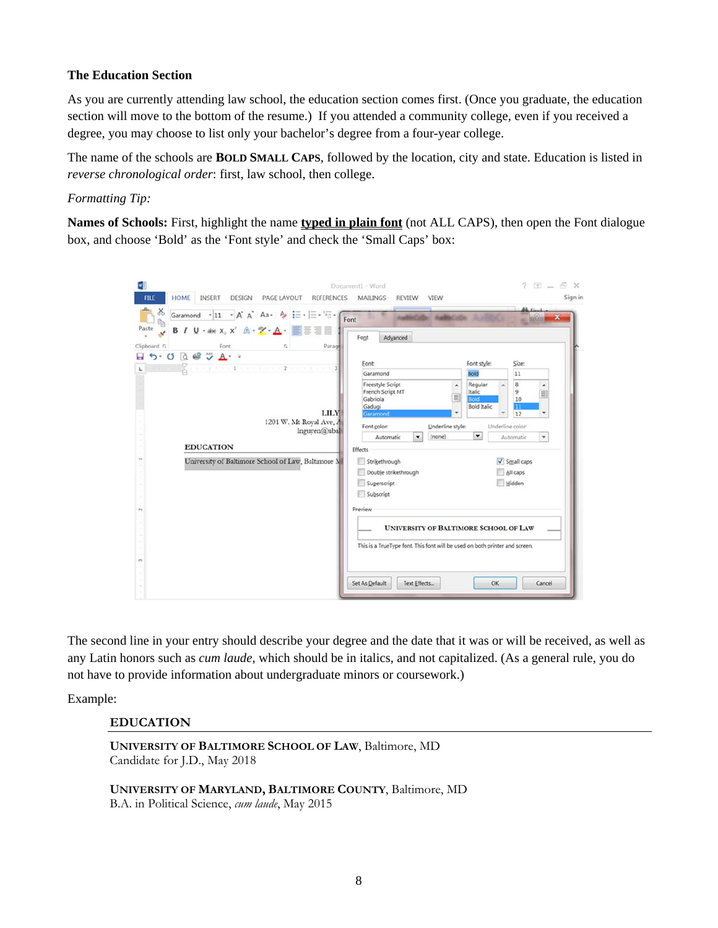# **The Education Section**

As you are currently attending law school, the education section comes first. (Once you graduate, the education section will move to the bottom of the resume.) If you attended a community college, even if you received a degree, you may choose to list only your bachelor's degree from a four-year college.

The name of the schools are **BOLD SMALL CAPS**, followed by the location, city and state. Education is listed in *reverse chronological order*: first, law school, then college.

## *Formatting Tip:*

**Names of Schools:** First, highlight the name **typed in plain font** (not ALL CAPS), then open the Font dialogue box, and choose 'Bold' as the 'Font style' and check the 'Small Caps' box:



The second line in your entry should describe your degree and the date that it was or will be received, as well as any Latin honors such as *cum laude*, which should be in italics, and not capitalized. (As a general rule, you do not have to provide information about undergraduate minors or coursework.)

Example:

# **EDUCATION**

**UNIVERSITY OF BALTIMORE SCHOOL OF LAW**, Baltimore, MD Candidate for J.D., May 2018

**UNIVERSITY OF MARYLAND, BALTIMORE COUNTY**, Baltimore, MD B.A. in Political Science, *cum laude*, May 2015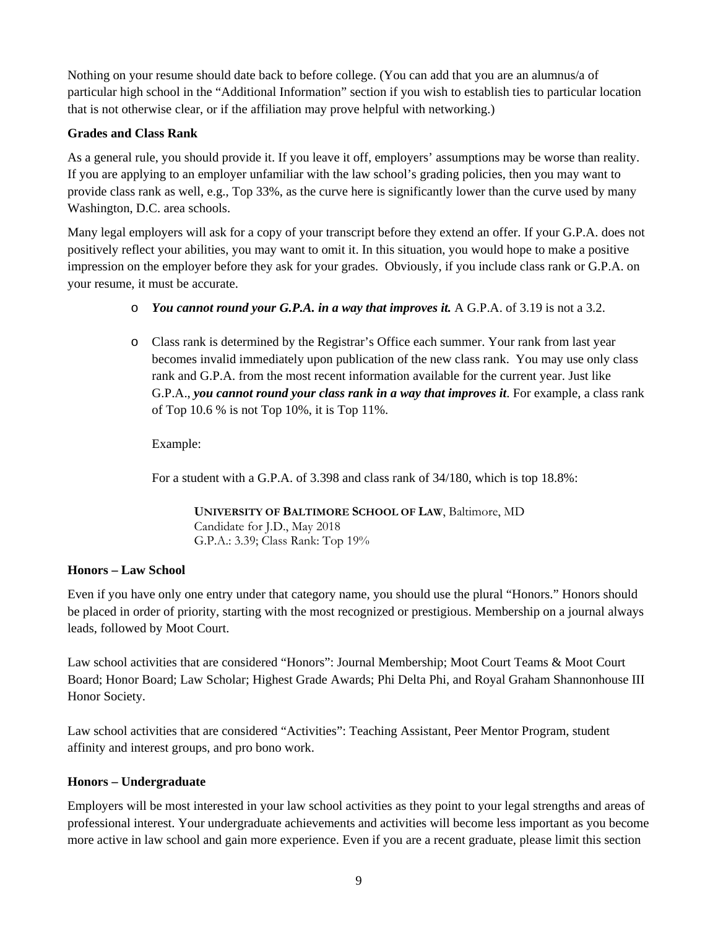Nothing on your resume should date back to before college. (You can add that you are an alumnus/a of particular high school in the "Additional Information" section if you wish to establish ties to particular location that is not otherwise clear, or if the affiliation may prove helpful with networking.)

# **Grades and Class Rank**

As a general rule, you should provide it. If you leave it off, employers' assumptions may be worse than reality. If you are applying to an employer unfamiliar with the law school's grading policies, then you may want to provide class rank as well, e.g., Top 33%, as the curve here is significantly lower than the curve used by many Washington, D.C. area schools.

Many legal employers will ask for a copy of your transcript before they extend an offer. If your G.P.A. does not positively reflect your abilities, you may want to omit it. In this situation, you would hope to make a positive impression on the employer before they ask for your grades. Obviously, if you include class rank or G.P.A. on your resume, it must be accurate.

- o *You cannot round your G.P.A. in a way that improves it.* A G.P.A. of 3.19 is not a 3.2.
- o Class rank is determined by the Registrar's Office each summer. Your rank from last year becomes invalid immediately upon publication of the new class rank. You may use only class rank and G.P.A. from the most recent information available for the current year. Just like G.P.A., *you cannot round your class rank in a way that improves it*. For example, a class rank of Top 10.6 % is not Top 10%, it is Top 11%.

Example:

For a student with a G.P.A. of 3.398 and class rank of 34/180, which is top 18.8%:

## **UNIVERSITY OF BALTIMORE SCHOOL OF LAW**, Baltimore, MD Candidate for J.D., May 2018 G.P.A.: 3.39; Class Rank: Top 19%

# **Honors – Law School**

Even if you have only one entry under that category name, you should use the plural "Honors." Honors should be placed in order of priority, starting with the most recognized or prestigious. Membership on a journal always leads, followed by Moot Court.

Law school activities that are considered "Honors": Journal Membership; Moot Court Teams & Moot Court Board; Honor Board; Law Scholar; Highest Grade Awards; Phi Delta Phi, and Royal Graham Shannonhouse III Honor Society.

Law school activities that are considered "Activities": Teaching Assistant, Peer Mentor Program, student affinity and interest groups, and pro bono work.

# **Honors – Undergraduate**

Employers will be most interested in your law school activities as they point to your legal strengths and areas of professional interest. Your undergraduate achievements and activities will become less important as you become more active in law school and gain more experience. Even if you are a recent graduate, please limit this section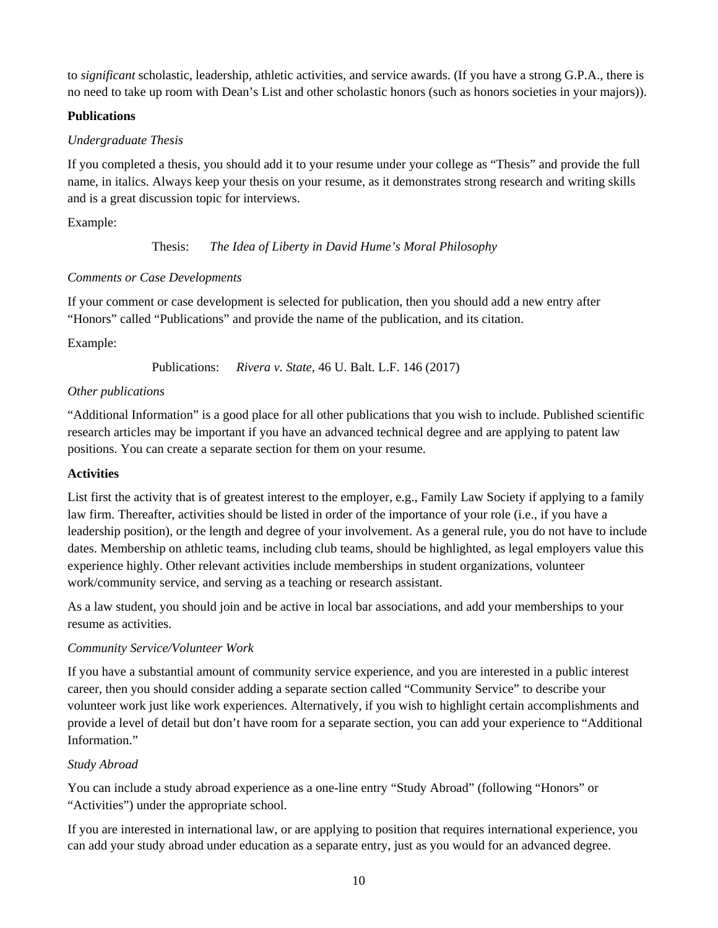to *significant* scholastic, leadership, athletic activities, and service awards. (If you have a strong G.P.A., there is no need to take up room with Dean's List and other scholastic honors (such as honors societies in your majors)).

## **Publications**

# *Undergraduate Thesis*

If you completed a thesis, you should add it to your resume under your college as "Thesis" and provide the full name, in italics. Always keep your thesis on your resume, as it demonstrates strong research and writing skills and is a great discussion topic for interviews.

Example:

Thesis: *The Idea of Liberty in David Hume's Moral Philosophy* 

# *Comments or Case Developments*

If your comment or case development is selected for publication, then you should add a new entry after "Honors" called "Publications" and provide the name of the publication, and its citation.

Example:

Publications: *Rivera v. State*, 46 U. Balt. L.F. 146 (2017)

# *Other publications*

"Additional Information" is a good place for all other publications that you wish to include. Published scientific research articles may be important if you have an advanced technical degree and are applying to patent law positions. You can create a separate section for them on your resume.

## **Activities**

List first the activity that is of greatest interest to the employer, e.g., Family Law Society if applying to a family law firm. Thereafter, activities should be listed in order of the importance of your role (i.e., if you have a leadership position), or the length and degree of your involvement. As a general rule, you do not have to include dates. Membership on athletic teams, including club teams, should be highlighted, as legal employers value this experience highly. Other relevant activities include memberships in student organizations, volunteer work/community service, and serving as a teaching or research assistant.

As a law student, you should join and be active in local bar associations, and add your memberships to your resume as activities.

# *Community Service/Volunteer Work*

If you have a substantial amount of community service experience, and you are interested in a public interest career, then you should consider adding a separate section called "Community Service" to describe your volunteer work just like work experiences. Alternatively, if you wish to highlight certain accomplishments and provide a level of detail but don't have room for a separate section, you can add your experience to "Additional Information."

# *Study Abroad*

You can include a study abroad experience as a one-line entry "Study Abroad" (following "Honors" or "Activities") under the appropriate school.

If you are interested in international law, or are applying to position that requires international experience, you can add your study abroad under education as a separate entry, just as you would for an advanced degree.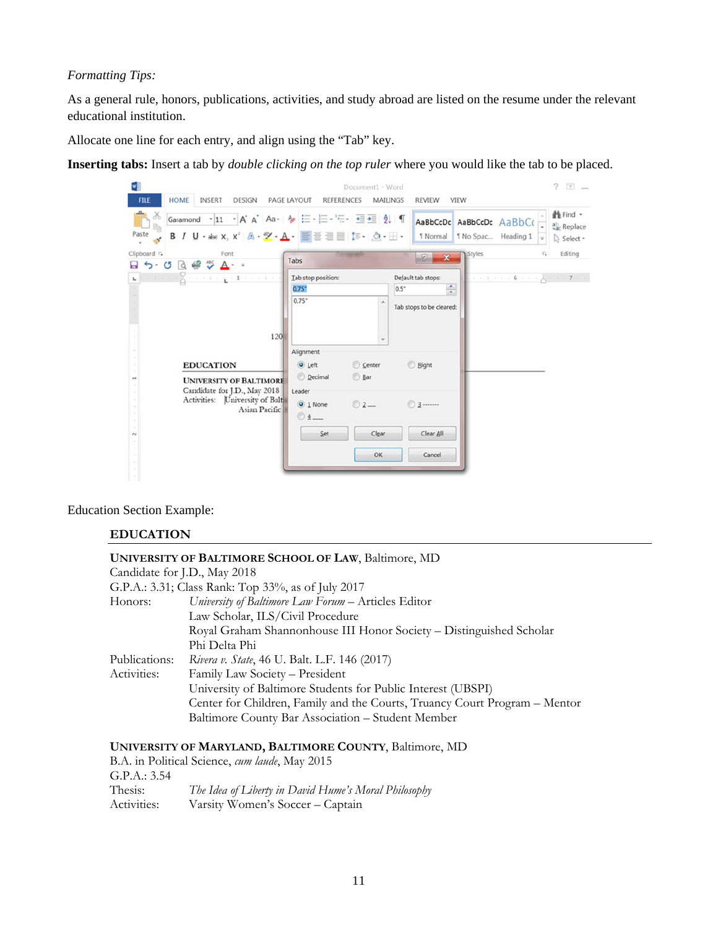## *Formatting Tips:*

As a general rule, honors, publications, activities, and study abroad are listed on the resume under the relevant educational institution.

Allocate one line for each entry, and align using the "Tab" key.

**Inserting tabs:** Insert a tab by *double clicking on the top ruler* where you would like the tab to be placed.

| <b>FILE</b><br><b>INSERT</b><br>DESIGN<br><b>HOME</b>                                                                                                                                                  | PAGE LAYOUT<br><b>REFERENCES</b>                   | Document1 - Word<br>MAILINGS | VIEW<br><b>REVIEW</b>                                       |                                                             | ?                                  |
|--------------------------------------------------------------------------------------------------------------------------------------------------------------------------------------------------------|----------------------------------------------------|------------------------------|-------------------------------------------------------------|-------------------------------------------------------------|------------------------------------|
| $\alpha$<br>Garamond ・11 ・A A Aa - タ 三・三・三・ 三 里 2 「<br>Paste<br>B $I \cup \neg \text{else } X_2 \times \neg \Delta \cdot \Box \equiv \equiv \equiv \equiv \text{[} \equiv \neg \Delta \cdot \Box \neg$ |                                                    |                              | 1 Normal                                                    | AaBbCcDc AaBbCcDc AaBbCc<br>1 No Spac Heading 1<br>$\omega$ | 船 Find →<br>ab Replace<br>Select - |
| Clipboard F.<br>Font<br>$5.0009 \times A.$<br>ы                                                                                                                                                        | Tabs                                               |                              | $\mathcal{D}$<br>$\mathbf{x}$                               | Styles                                                      | Editing<br>$\Gamma_{\mathbf{z}}^*$ |
| instants and $\mathbb{X}$ is the property of the contract<br>L<br>120                                                                                                                                  | Tab stop position:<br>0.75 <sup>o</sup><br>$0.75+$ | ×                            | Default tab stops:<br>÷<br>0.5"<br>Tab stops to be cleared: | . 6 X 7                                                     |                                    |
| <b>EDUCATION</b>                                                                                                                                                                                       | Alignment<br>O Left<br><b>Q</b> Decimal            | Center<br><b>Bar</b>         | <b>Bight</b>                                                |                                                             |                                    |
| <b>UNIVERSITY OF BALTIMORE</b><br>Candidate for J.D., May 2018<br>Activities: University of Balt<br>Asian Pacific<br>$\sim$                                                                            | Leader<br>$01$ None<br>$04-$<br>Set                | $@2-$<br>Clear               | $3$<br>Clear All                                            |                                                             |                                    |
|                                                                                                                                                                                                        |                                                    | OK                           | Cancel                                                      |                                                             |                                    |

Education Section Example:

## **EDUCATION**

|               | <b>UNIVERSITY OF BALTIMORE SCHOOL OF LAW, Baltimore, MD</b>                |
|---------------|----------------------------------------------------------------------------|
|               | Candidate for J.D., May 2018                                               |
|               | G.P.A.: 3.31; Class Rank: Top 33%, as of July 2017                         |
| Honors:       | University of Baltimore Law Forum - Articles Editor                        |
|               | Law Scholar, ILS/Civil Procedure                                           |
|               | Royal Graham Shannonhouse III Honor Society - Distinguished Scholar        |
|               | Phi Delta Phi                                                              |
| Publications: | Rivera v. State, 46 U. Balt. L.F. 146 (2017)                               |
| Activities:   | Family Law Society - President                                             |
|               | University of Baltimore Students for Public Interest (UBSPI)               |
|               | Center for Children, Family and the Courts, Truancy Court Program - Mentor |
|               | Baltimore County Bar Association - Student Member                          |
|               |                                                                            |

## **UNIVERSITY OF MARYLAND, BALTIMORE COUNTY**, Baltimore, MD

|              | B.A. in Political Science, cum laude, May 2015       |
|--------------|------------------------------------------------------|
| G.P.A.: 3.54 |                                                      |
| Thesis:      | The Idea of Liberty in David Hume's Moral Philosophy |
| Activities:  | Varsity Women's Soccer – Captain                     |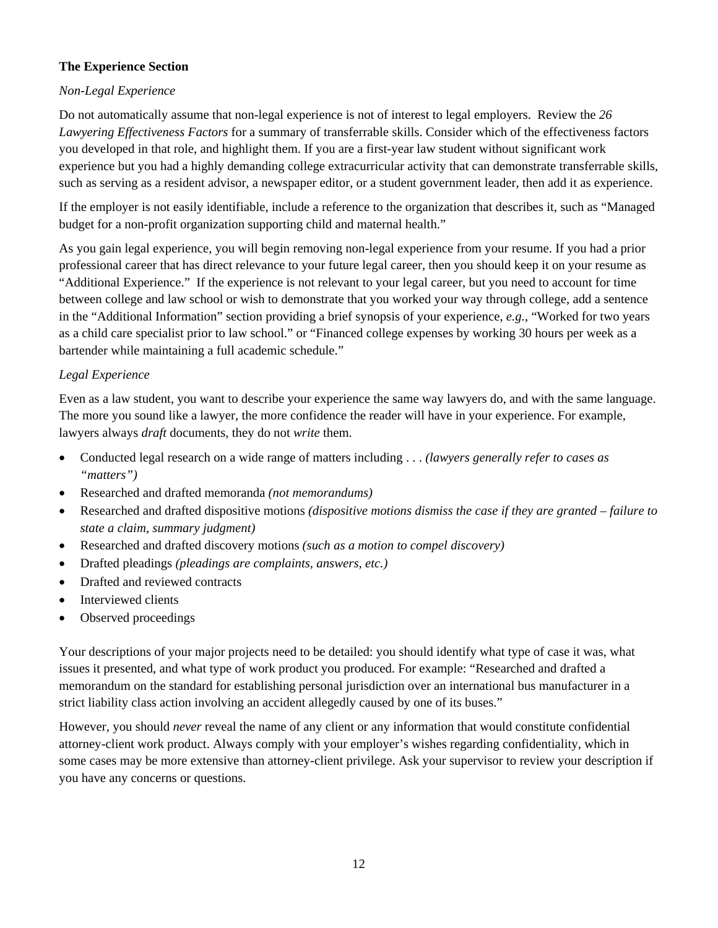# **The Experience Section**

# *Non-Legal Experience*

Do not automatically assume that non-legal experience is not of interest to legal employers. Review the *26 Lawyering Effectiveness Factors* for a summary of transferrable skills. Consider which of the effectiveness factors you developed in that role, and highlight them. If you are a first-year law student without significant work experience but you had a highly demanding college extracurricular activity that can demonstrate transferrable skills, such as serving as a resident advisor, a newspaper editor, or a student government leader, then add it as experience.

If the employer is not easily identifiable, include a reference to the organization that describes it, such as "Managed budget for a non-profit organization supporting child and maternal health."

As you gain legal experience, you will begin removing non-legal experience from your resume. If you had a prior professional career that has direct relevance to your future legal career, then you should keep it on your resume as "Additional Experience." If the experience is not relevant to your legal career, but you need to account for time between college and law school or wish to demonstrate that you worked your way through college, add a sentence in the "Additional Information" section providing a brief synopsis of your experience, *e.g.*, "Worked for two years as a child care specialist prior to law school." or "Financed college expenses by working 30 hours per week as a bartender while maintaining a full academic schedule."

# *Legal Experience*

Even as a law student, you want to describe your experience the same way lawyers do, and with the same language. The more you sound like a lawyer, the more confidence the reader will have in your experience. For example, lawyers always *draft* documents, they do not *write* them.

- Conducted legal research on a wide range of matters including . . . *(lawyers generally refer to cases as "matters")*
- Researched and drafted memoranda *(not memorandums)*
- Researched and drafted dispositive motions *(dispositive motions dismiss the case if they are granted failure to state a claim, summary judgment)*
- Researched and drafted discovery motions *(such as a motion to compel discovery)*
- Drafted pleadings *(pleadings are complaints, answers, etc.)*
- Drafted and reviewed contracts
- Interviewed clients
- Observed proceedings

Your descriptions of your major projects need to be detailed: you should identify what type of case it was, what issues it presented, and what type of work product you produced. For example: "Researched and drafted a memorandum on the standard for establishing personal jurisdiction over an international bus manufacturer in a strict liability class action involving an accident allegedly caused by one of its buses."

However, you should *never* reveal the name of any client or any information that would constitute confidential attorney-client work product. Always comply with your employer's wishes regarding confidentiality, which in some cases may be more extensive than attorney-client privilege. Ask your supervisor to review your description if you have any concerns or questions.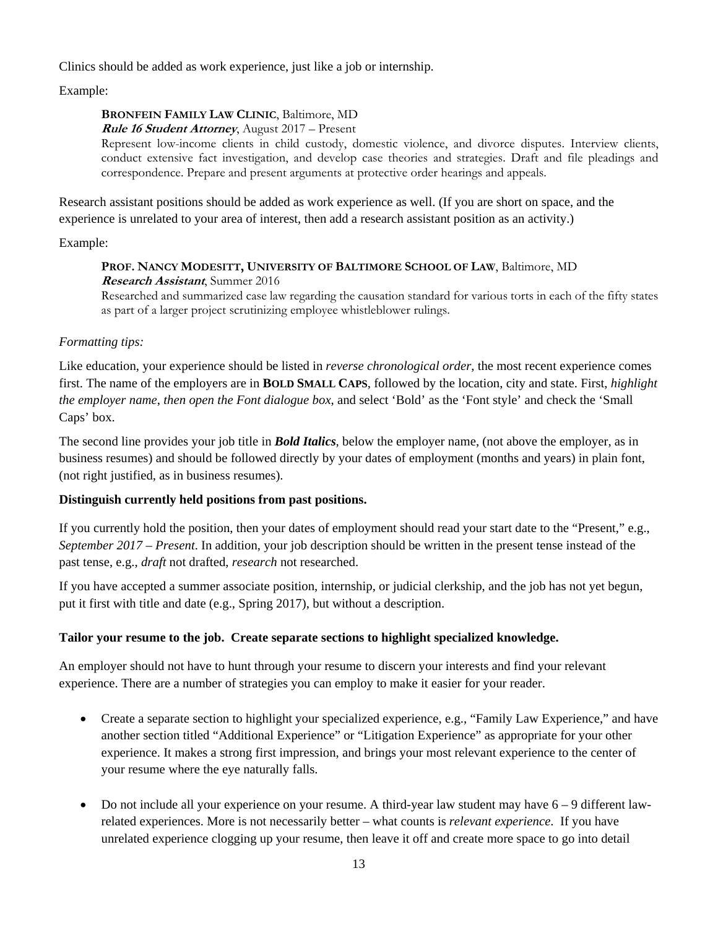Clinics should be added as work experience, just like a job or internship.

Example:

# **BRONFEIN FAMILY LAW CLINIC**, Baltimore, MD

**Rule 16 Student Attorney**, August 2017 – Present

Represent low-income clients in child custody, domestic violence, and divorce disputes. Interview clients, conduct extensive fact investigation, and develop case theories and strategies. Draft and file pleadings and correspondence. Prepare and present arguments at protective order hearings and appeals.

Research assistant positions should be added as work experience as well. (If you are short on space, and the experience is unrelated to your area of interest, then add a research assistant position as an activity.)

Example:

## **PROF. NANCY MODESITT, UNIVERSITY OF BALTIMORE SCHOOL OF LAW**, Baltimore, MD **Research Assistant**, Summer 2016

Researched and summarized case law regarding the causation standard for various torts in each of the fifty states as part of a larger project scrutinizing employee whistleblower rulings.

# *Formatting tips:*

Like education, your experience should be listed in *reverse chronological order*, the most recent experience comes first. The name of the employers are in **BOLD SMALL CAPS**, followed by the location, city and state. First, *highlight the employer name*, *then open the Font dialogue box*, and select 'Bold' as the 'Font style' and check the 'Small Caps' box.

The second line provides your job title in *Bold Italics*, below the employer name, (not above the employer, as in business resumes) and should be followed directly by your dates of employment (months and years) in plain font, (not right justified, as in business resumes).

# **Distinguish currently held positions from past positions.**

If you currently hold the position, then your dates of employment should read your start date to the "Present," e.g., *September 2017 – Present*. In addition, your job description should be written in the present tense instead of the past tense, e.g., *draft* not drafted, *research* not researched.

If you have accepted a summer associate position, internship, or judicial clerkship, and the job has not yet begun, put it first with title and date (e.g., Spring 2017), but without a description.

# **Tailor your resume to the job. Create separate sections to highlight specialized knowledge.**

An employer should not have to hunt through your resume to discern your interests and find your relevant experience. There are a number of strategies you can employ to make it easier for your reader.

- Create a separate section to highlight your specialized experience, e.g., "Family Law Experience," and have another section titled "Additional Experience" or "Litigation Experience" as appropriate for your other experience. It makes a strong first impression, and brings your most relevant experience to the center of your resume where the eye naturally falls.
- $\bullet$  Do not include all your experience on your resume. A third-year law student may have  $6 9$  different lawrelated experiences. More is not necessarily better – what counts is *relevant experience*. If you have unrelated experience clogging up your resume, then leave it off and create more space to go into detail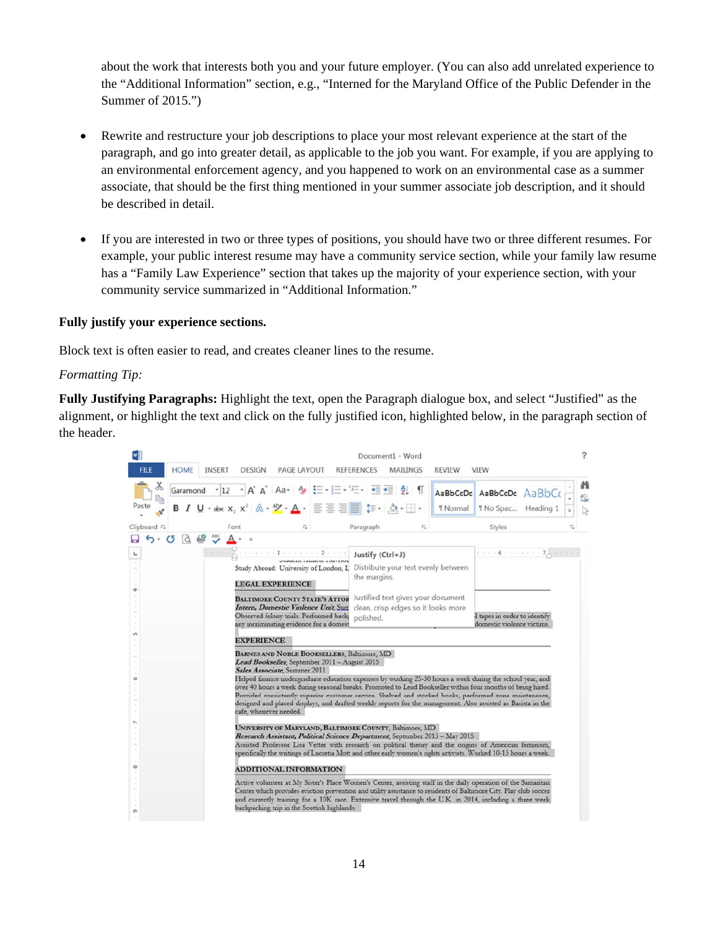about the work that interests both you and your future employer. (You can also add unrelated experience to the "Additional Information" section, e.g., "Interned for the Maryland Office of the Public Defender in the Summer of 2015.")

- Rewrite and restructure your job descriptions to place your most relevant experience at the start of the paragraph, and go into greater detail, as applicable to the job you want. For example, if you are applying to an environmental enforcement agency, and you happened to work on an environmental case as a summer associate, that should be the first thing mentioned in your summer associate job description, and it should be described in detail.
- If you are interested in two or three types of positions, you should have two or three different resumes. For example, your public interest resume may have a community service section, while your family law resume has a "Family Law Experience" section that takes up the majority of your experience section, with your community service summarized in "Additional Information."

## **Fully justify your experience sections.**

Block text is often easier to read, and creates cleaner lines to the resume.

## *Formatting Tip:*

**Fully Justifying Paragraphs:** Highlight the text, open the Paragraph dialogue box, and select "Justified" as the alignment, or highlight the text and click on the fully justified icon, highlighted below, in the paragraph section of the header.

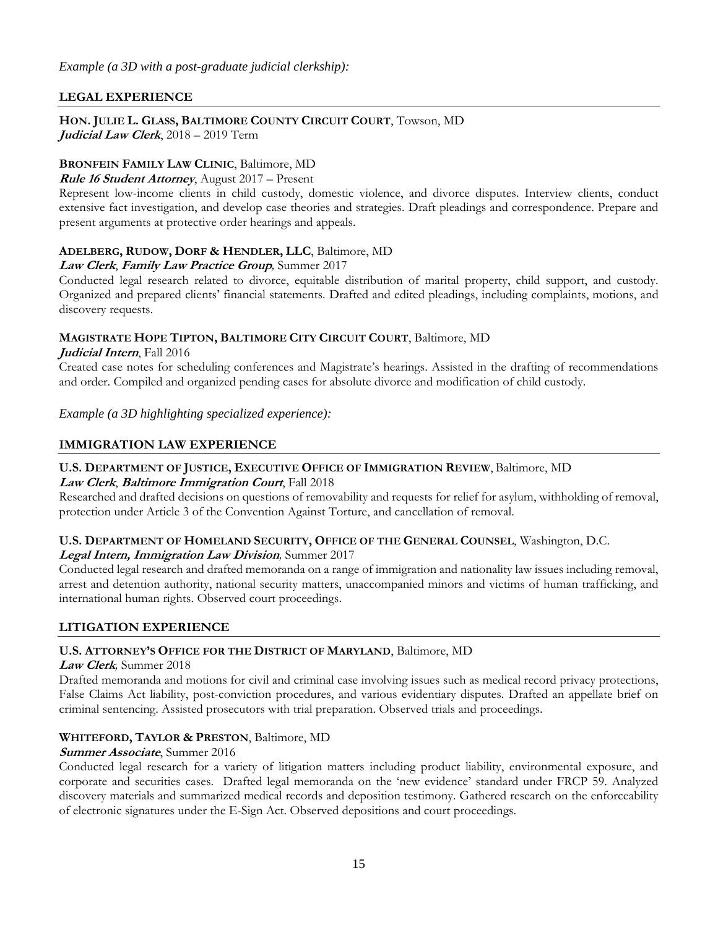# **LEGAL EXPERIENCE**

## **HON. JULIE L. GLASS, BALTIMORE COUNTY CIRCUIT COURT**, Towson, MD **Judicial Law Clerk**, 2018 – 2019 Term

# **BRONFEIN FAMILY LAW CLINIC**, Baltimore, MD

## **Rule 16 Student Attorney**, August 2017 – Present

Represent low-income clients in child custody, domestic violence, and divorce disputes. Interview clients, conduct extensive fact investigation, and develop case theories and strategies. Draft pleadings and correspondence. Prepare and present arguments at protective order hearings and appeals.

## **ADELBERG, RUDOW, DORF & HENDLER, LLC**, Baltimore, MD

## **Law Clerk**, **Family Law Practice Group***,* Summer 2017

Conducted legal research related to divorce, equitable distribution of marital property, child support, and custody. Organized and prepared clients' financial statements. Drafted and edited pleadings, including complaints, motions, and discovery requests.

## **MAGISTRATE HOPE TIPTON, BALTIMORE CITY CIRCUIT COURT**, Baltimore, MD

## **Judicial Intern**, Fall 2016

Created case notes for scheduling conferences and Magistrate's hearings. Assisted in the drafting of recommendations and order. Compiled and organized pending cases for absolute divorce and modification of child custody.

*Example (a 3D highlighting specialized experience):* 

# **IMMIGRATION LAW EXPERIENCE**

## **U.S. DEPARTMENT OF JUSTICE, EXECUTIVE OFFICE OF IMMIGRATION REVIEW**, Baltimore, MD **Law Clerk**, **Baltimore Immigration Court**, Fall 2018

Researched and drafted decisions on questions of removability and requests for relief for asylum, withholding of removal, protection under Article 3 of the Convention Against Torture, and cancellation of removal.

# **U.S. DEPARTMENT OF HOMELAND SECURITY, OFFICE OF THE GENERAL COUNSEL**, Washington, D.C.

# **Legal Intern, Immigration Law Division***,* Summer 2017

Conducted legal research and drafted memoranda on a range of immigration and nationality law issues including removal, arrest and detention authority, national security matters, unaccompanied minors and victims of human trafficking, and international human rights. Observed court proceedings.

## **LITIGATION EXPERIENCE**

## **U.S. ATTORNEY'S OFFICE FOR THE DISTRICT OF MARYLAND**, Baltimore, MD

## **Law Clerk***,* Summer 2018

Drafted memoranda and motions for civil and criminal case involving issues such as medical record privacy protections, False Claims Act liability, post-conviction procedures, and various evidentiary disputes. Drafted an appellate brief on criminal sentencing. Assisted prosecutors with trial preparation. Observed trials and proceedings.

## **WHITEFORD, TAYLOR & PRESTON**, Baltimore, MD

## **Summer Associate**, Summer 2016

Conducted legal research for a variety of litigation matters including product liability, environmental exposure, and corporate and securities cases. Drafted legal memoranda on the 'new evidence' standard under FRCP 59. Analyzed discovery materials and summarized medical records and deposition testimony. Gathered research on the enforceability of electronic signatures under the E-Sign Act. Observed depositions and court proceedings.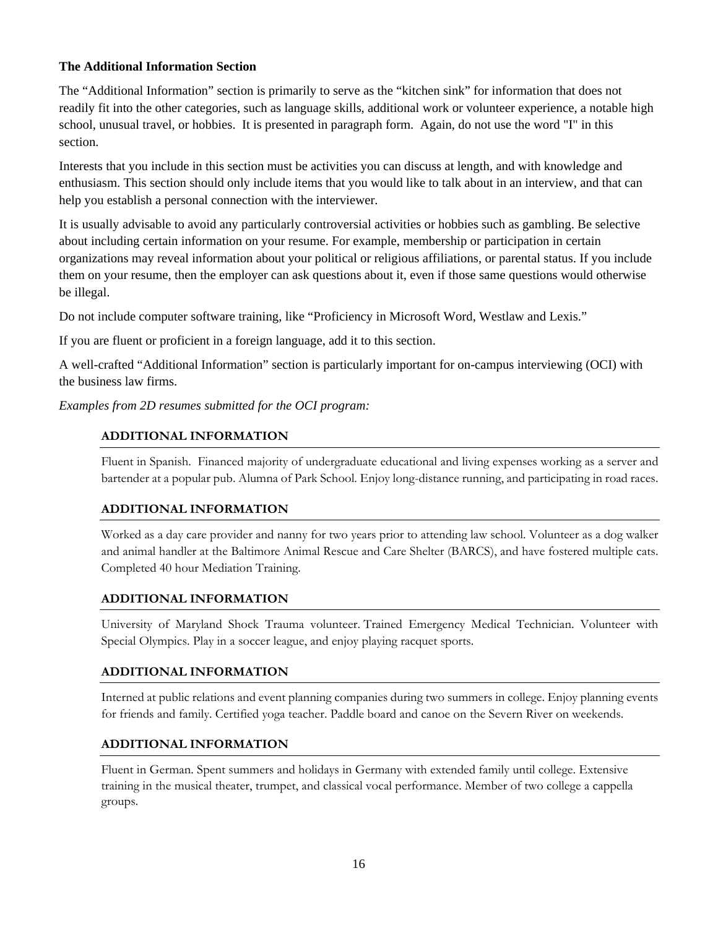# **The Additional Information Section**

The "Additional Information" section is primarily to serve as the "kitchen sink" for information that does not readily fit into the other categories, such as language skills, additional work or volunteer experience, a notable high school, unusual travel, or hobbies. It is presented in paragraph form. Again, do not use the word "I" in this section.

Interests that you include in this section must be activities you can discuss at length, and with knowledge and enthusiasm. This section should only include items that you would like to talk about in an interview, and that can help you establish a personal connection with the interviewer.

It is usually advisable to avoid any particularly controversial activities or hobbies such as gambling. Be selective about including certain information on your resume. For example, membership or participation in certain organizations may reveal information about your political or religious affiliations, or parental status. If you include them on your resume, then the employer can ask questions about it, even if those same questions would otherwise be illegal.

Do not include computer software training, like "Proficiency in Microsoft Word, Westlaw and Lexis."

If you are fluent or proficient in a foreign language, add it to this section.

A well-crafted "Additional Information" section is particularly important for on-campus interviewing (OCI) with the business law firms.

*Examples from 2D resumes submitted for the OCI program:* 

# **ADDITIONAL INFORMATION**

Fluent in Spanish. Financed majority of undergraduate educational and living expenses working as a server and bartender at a popular pub. Alumna of Park School. Enjoy long-distance running, and participating in road races.

# **ADDITIONAL INFORMATION**

Worked as a day care provider and nanny for two years prior to attending law school. Volunteer as a dog walker and animal handler at the Baltimore Animal Rescue and Care Shelter (BARCS), and have fostered multiple cats. Completed 40 hour Mediation Training.

## **ADDITIONAL INFORMATION**

University of Maryland Shock Trauma volunteer. Trained Emergency Medical Technician. Volunteer with Special Olympics. Play in a soccer league, and enjoy playing racquet sports.

## **ADDITIONAL INFORMATION**

Interned at public relations and event planning companies during two summers in college. Enjoy planning events for friends and family. Certified yoga teacher. Paddle board and canoe on the Severn River on weekends.

# **ADDITIONAL INFORMATION**

Fluent in German. Spent summers and holidays in Germany with extended family until college. Extensive training in the musical theater, trumpet, and classical vocal performance. Member of two college a cappella groups.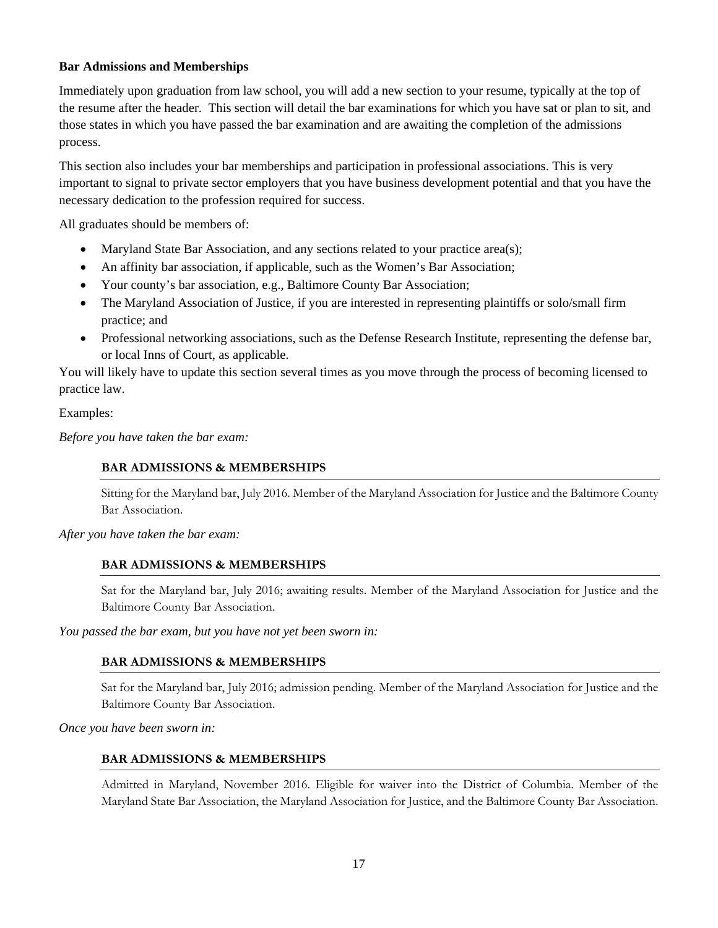## **Bar Admissions and Memberships**

Immediately upon graduation from law school, you will add a new section to your resume, typically at the top of the resume after the header. This section will detail the bar examinations for which you have sat or plan to sit, and those states in which you have passed the bar examination and are awaiting the completion of the admissions process.

This section also includes your bar memberships and participation in professional associations. This is very important to signal to private sector employers that you have business development potential and that you have the necessary dedication to the profession required for success.

All graduates should be members of:

- Maryland State Bar Association, and any sections related to your practice area(s);
- An affinity bar association, if applicable, such as the Women's Bar Association;
- Your county's bar association, e.g., Baltimore County Bar Association;
- The Maryland Association of Justice, if you are interested in representing plaintiffs or solo/small firm practice; and
- Professional networking associations, such as the Defense Research Institute, representing the defense bar, or local Inns of Court, as applicable.

You will likely have to update this section several times as you move through the process of becoming licensed to practice law.

Examples:

*Before you have taken the bar exam:* 

# **BAR ADMISSIONS & MEMBERSHIPS**

Sitting for the Maryland bar, July 2016. Member of the Maryland Association for Justice and the Baltimore County Bar Association.

*After you have taken the bar exam:* 

# **BAR ADMISSIONS & MEMBERSHIPS**

Sat for the Maryland bar, July 2016; awaiting results. Member of the Maryland Association for Justice and the Baltimore County Bar Association.

*You passed the bar exam, but you have not yet been sworn in:* 

# **BAR ADMISSIONS & MEMBERSHIPS**

Sat for the Maryland bar, July 2016; admission pending. Member of the Maryland Association for Justice and the Baltimore County Bar Association.

*Once you have been sworn in:* 

## **BAR ADMISSIONS & MEMBERSHIPS**

Admitted in Maryland, November 2016. Eligible for waiver into the District of Columbia. Member of the Maryland State Bar Association, the Maryland Association for Justice, and the Baltimore County Bar Association.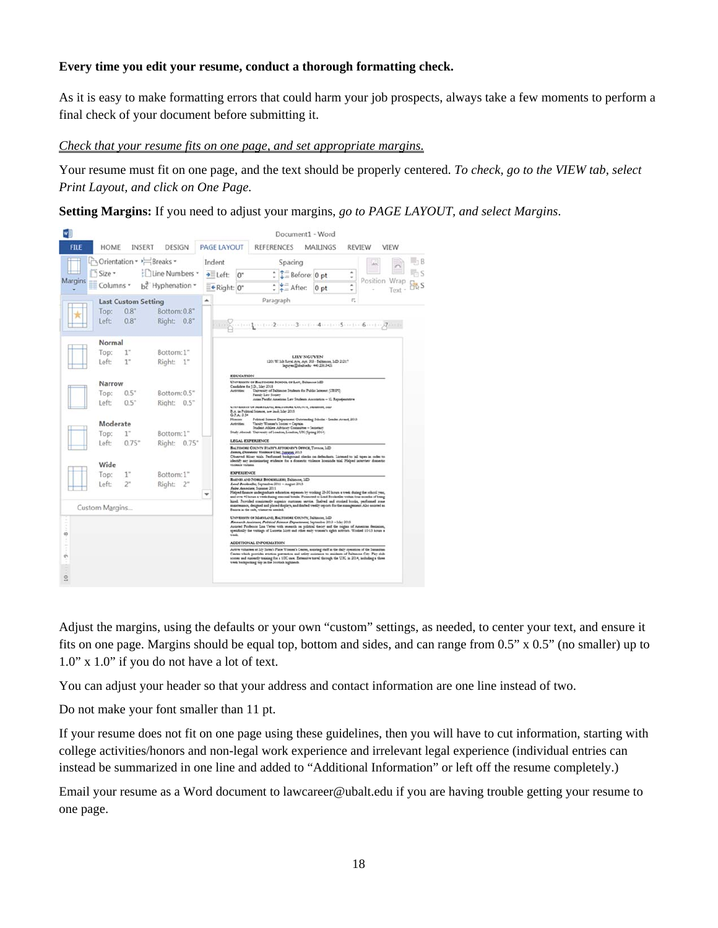# **Every time you edit your resume, conduct a thorough formatting check.**

As it is easy to make formatting errors that could harm your job prospects, always take a few moments to perform a final check of your document before submitting it.

## *Check that your resume fits on one page, and set appropriate margins.*

Your resume must fit on one page, and the text should be properly centered. *To check, go to the VIEW tab, select Print Layout, and click on One Page.* 

**Setting Margins:** If you need to adjust your margins, *go to PAGE LAYOUT, and select Margins*.

![](_page_17_Picture_5.jpeg)

Adjust the margins, using the defaults or your own "custom" settings, as needed, to center your text, and ensure it fits on one page. Margins should be equal top, bottom and sides, and can range from 0.5" x 0.5" (no smaller) up to 1.0" x 1.0" if you do not have a lot of text.

You can adjust your header so that your address and contact information are one line instead of two.

Do not make your font smaller than 11 pt.

If your resume does not fit on one page using these guidelines, then you will have to cut information, starting with college activities/honors and non-legal work experience and irrelevant legal experience (individual entries can instead be summarized in one line and added to "Additional Information" or left off the resume completely.)

Email your resume as a Word document to lawcareer@ubalt.edu if you are having trouble getting your resume to one page.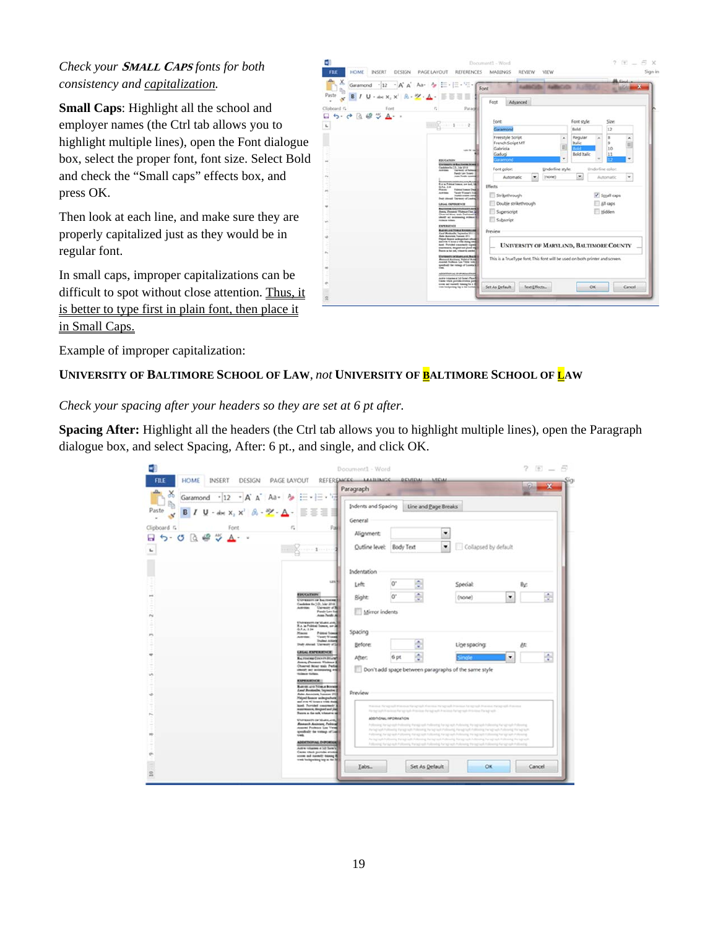# *Check your* **SMALL CAPS** *fonts for both consistency and capitalization.*

**Small Caps**: Highlight all the school and employer names (the Ctrl tab allows you to highlight multiple lines), open the Font dialogue box, select the proper font, font size. Select Bold and check the "Small caps" effects box, and press OK.

Then look at each line, and make sure they are properly capitalized just as they would be in regular font.

In small caps, improper capitalizations can be difficult to spot without close attention. Thus, it is better to type first in plain font, then place it in Small Caps.

| Garamond<br>$-12$<br>Paste<br>$\cdot$ also X, X' $\mathbb{A} \cdot \mathbb{Y} \cdot \mathbb{A}$ . | $A$ A A $A$ $B$ $\longrightarrow$ $B$ $\longrightarrow$ $B$                                                      | Font                                                                        |                       |                      |
|---------------------------------------------------------------------------------------------------|------------------------------------------------------------------------------------------------------------------|-----------------------------------------------------------------------------|-----------------------|----------------------|
|                                                                                                   |                                                                                                                  |                                                                             |                       | ×                    |
|                                                                                                   |                                                                                                                  | Foot<br>Advanced                                                            |                       |                      |
| Clipboard 1%<br>Font                                                                              | $\Gamma_{\rm m}$<br>Parage                                                                                       |                                                                             |                       |                      |
| 62<br>A -<br>$\cdot$<br>$\epsilon$<br>Ið.<br>. .                                                  |                                                                                                                  |                                                                             |                       |                      |
|                                                                                                   | $1 - 1 - 1 - 2$<br>$+1117$                                                                                       | <b>Font:</b>                                                                | Font style:           | Size:                |
|                                                                                                   |                                                                                                                  | Garamond                                                                    | Bold                  | 12                   |
|                                                                                                   |                                                                                                                  | Freestyle Script<br>۰<br>French Script MT                                   | Regular<br>halic      | R<br>۰<br>9          |
|                                                                                                   | <b>LEL W. Jule</b>                                                                                               | Gabriola                                                                    | a.                    | 10                   |
|                                                                                                   | <b>REACKWING</b>                                                                                                 | Gadugi<br>$\blacksquare$<br><b><i>saramond</i></b>                          | <b>Bold Italic</b>    | 11                   |
|                                                                                                   | <b>Charmsons on Bucknows bowl</b><br>Condition For LD., 146-2118                                                 |                                                                             |                       |                      |
|                                                                                                   | <b>Clairmont of Ballas</b><br><b>Automatical</b><br>Fascin Law System<br>Asian Panally Automa                    | Underline style:<br>Font color:                                             | Underline color:<br>۰ |                      |
|                                                                                                   | <b>ANTICIPATE MARKETING BACKS</b><br>R.A. in Folders' Lowrett, and Jud. 100                                      | Automatic<br>(none)<br>۰                                                    |                       | $\star$<br>Automatic |
|                                                                                                   | 974.101<br>Friend Issue Duill<br><b>Huese</b><br>Taxer Timer's had<br><b>Automative</b>                          | <b>Effects</b>                                                              |                       |                      |
|                                                                                                   | <b><i><u>Index sites sing</u></i></b><br><b>Indy stored Clarency of Looked</b>                                   | Strikethrough                                                               |                       | V Small caps         |
|                                                                                                   | <b>LAGUL EXPERIENCE</b>                                                                                          | Double strikethrough                                                        |                       | All caps             |
|                                                                                                   | <b>BALTIMORE COUNTY ROOM'S AITH</b><br>Joans Denem Tishur Dat 2<br>Chuared Most main Performed M                 | Superscript                                                                 |                       | Hidden               |
|                                                                                                   | shortfit and and consumering relations of<br><b><i>SORGH SIDES</i></b>                                           | Subscript                                                                   |                       |                      |
|                                                                                                   | ESPERIENCE<br><b>Button and from a Bookmann</b>                                                                  | Preview                                                                     |                       |                      |
|                                                                                                   | Leaf Packaghe, Squasher 2111 to<br><b>Auto Aucourum Transport 2011</b><br><b>Patyel Board actripolists chall</b> |                                                                             |                       |                      |
|                                                                                                   | and one of artists when during result.<br>load Porchel contracts squea<br>expresses, began and plane die         | UNIVERSITY OF MARYLAND, BALTIMORE COUNTY                                    |                       |                      |
|                                                                                                   | Basto a far set, classric sector.<br><b>University or Idams and, Backer</b>                                      |                                                                             |                       |                      |
|                                                                                                   | Research Andrians, Political Road<br>Assembly Production Line Trainer work at                                    | This is a TrueType font. This font will be used on both printer and screen. |                       |                      |
|                                                                                                   | questionly the visings of Loomia \$<br><b>Gent</b>                                                               |                                                                             |                       |                      |
|                                                                                                   | ADDITIONAL INFORMATION<br>Autora tratagenesi at Sale Sunal's Parent<br>Caster viteria postular arcolora ponde    |                                                                             |                       |                      |

Example of improper capitalization:

# **UNIVERSITY OF BALTIMORE SCHOOL OF LAW**, *not* **UNIVERSITY OF BALTIMORE SCHOOL OF LAW**

# *Check your spacing after your headers so they are set at 6 pt after.*

**Spacing After:** Highlight all the headers (the Ctrl tab allows you to highlight multiple lines), open the Paragraph dialogue box, and select Spacing, After: 6 pt., and single, and click OK.

|                                                                                                                                                                                                                                                                                                                                                                                                                                                                                                                                   | Document1 - Word                                                                                                                                                                                                                                                                                                                                                                                                                                                                                                                                                                                                                                                                                                                                                                                                                                                                | $7 - 5$ |
|-----------------------------------------------------------------------------------------------------------------------------------------------------------------------------------------------------------------------------------------------------------------------------------------------------------------------------------------------------------------------------------------------------------------------------------------------------------------------------------------------------------------------------------|---------------------------------------------------------------------------------------------------------------------------------------------------------------------------------------------------------------------------------------------------------------------------------------------------------------------------------------------------------------------------------------------------------------------------------------------------------------------------------------------------------------------------------------------------------------------------------------------------------------------------------------------------------------------------------------------------------------------------------------------------------------------------------------------------------------------------------------------------------------------------------|---------|
| FILE<br><b>HOME</b><br>INSERT<br>DESIGN<br><b>PAGE LAYOUT</b>                                                                                                                                                                                                                                                                                                                                                                                                                                                                     | REFERENCES MAILBACS<br><b>DEMEM MEMI</b><br>Paragraph                                                                                                                                                                                                                                                                                                                                                                                                                                                                                                                                                                                                                                                                                                                                                                                                                           |         |
| X<br>● 田・田・昭<br>A.<br>Aa-<br>$-12$<br>Garamond<br>$\bullet$<br>$\Lambda$<br>Paste<br>$U - \text{div } X$ , $X' = \emptyset - Y - \underline{A} -$<br>в<br>Clipboard F.<br>r.<br>Pal<br>Font<br>5.00095<br>А<br>u<br>specificates<br>$\mathbf{L}$                                                                                                                                                                                                                                                                                  | Indents and Spacing<br>Line and Page Breaks<br>General<br>٠<br>Alignment:<br>٠<br>Collapsed by default<br><b>Body Text</b><br>Outline level:                                                                                                                                                                                                                                                                                                                                                                                                                                                                                                                                                                                                                                                                                                                                    |         |
| LICK?<br><b>EDUCATION</b><br><b>Childrenson or Ros Homes</b><br>Cashke for 1D, Mar 2018<br><b>University of RE</b><br>Artistics.<br>Fundy Law Sale<br>Asian Parchi AL                                                                                                                                                                                                                                                                                                                                                             | Indentation<br>¢<br>o*<br>Left<br>Special<br>By<br>÷<br>o"<br>Bight<br>٠<br>(none)<br>Mirror indents                                                                                                                                                                                                                                                                                                                                                                                                                                                                                                                                                                                                                                                                                                                                                                            | ÷       |
| <b>Changeanty or Source and II</b><br>R.A. in Political Integers, not all<br>G.F.A. 3.34<br><b>Manager</b><br>Publicat Science<br><b>Arkitek</b><br><b><i><u>Vasco Viscon</u></i></b><br><b>Druhect Article</b><br>Doch Allena & Christop of La<br>LEGAL EXPERIENCE<br><b>Ros Fournal Country Stures</b><br>Joan Doneste Visitore E<br>Charted Most took Parke<br>shorth art avoicants; etc.<br><b>National Gallery</b>                                                                                                           | Spacing<br>÷<br>Before:<br>Lige spacing:<br>At:<br>¢<br>After:<br>6 pt<br><b>Inche</b><br>٠<br>Don't add space between paragraphs of the same style                                                                                                                                                                                                                                                                                                                                                                                                                                                                                                                                                                                                                                                                                                                             | ÷       |
| <b>EXPENSEMENT</b><br><b>Butter are Nissa Books</b><br><b>Leaf Protestin: Instanting</b><br><b><i><u>Auto Autoicians Summer 200</u></i></b><br><b>Helped Reserve undergrachants</b><br>and stop 42 bones a track floor<br>lost Porchel contract:<br>numerous Avigant and yied<br>flassrs in the rate, whenever all<br><b>ENFIRMEY OF MARKLINE</b><br><b>Research Assistant, Political</b><br>Associated Prochesore Lose Vertex<br>qualifiedy the visings of Law<br>track.<br>ADDITIONAL ENPOWAGE<br>Arrest relation at lab family | Preview<br>Walking Newport Warrow Newport Karma Newport Pressure Newport Pressure Newport All also<br>the name is the first time of the term of the first time. The region of the first time of the late of the first section<br>ADDITIONAL INFORMATION<br>Following Persial staff Pollowing Persea and Pollowing Persea was Midlowing Myrograph Pollowing Persearch Pollowing<br>Kerkgrieb Folkeelig Vereignuth Folkining Hengrieb Policenty Ferograph Folkeelig Kerkgreib Folkeelig Versignuth<br>Fallbraing For top auth Automore this agress to following Alexander Meditiated Weing such Automobile Persian auto Automore<br>Partial Additioning the regional Automore Partial and Automore for opinion Automore, For any auto Automore, the lagraph<br>Following Kuraginuth Kollowing Kuraginuth Holembig Aurisplants Automatic Kernet and Automatic Kuraginuth Kollowing |         |
| Cause which portules month<br>scores and currently maning the<br>week bedgeding toy as the SET                                                                                                                                                                                                                                                                                                                                                                                                                                    | Set As Default<br>OK<br>Iabs<br>Cancel                                                                                                                                                                                                                                                                                                                                                                                                                                                                                                                                                                                                                                                                                                                                                                                                                                          |         |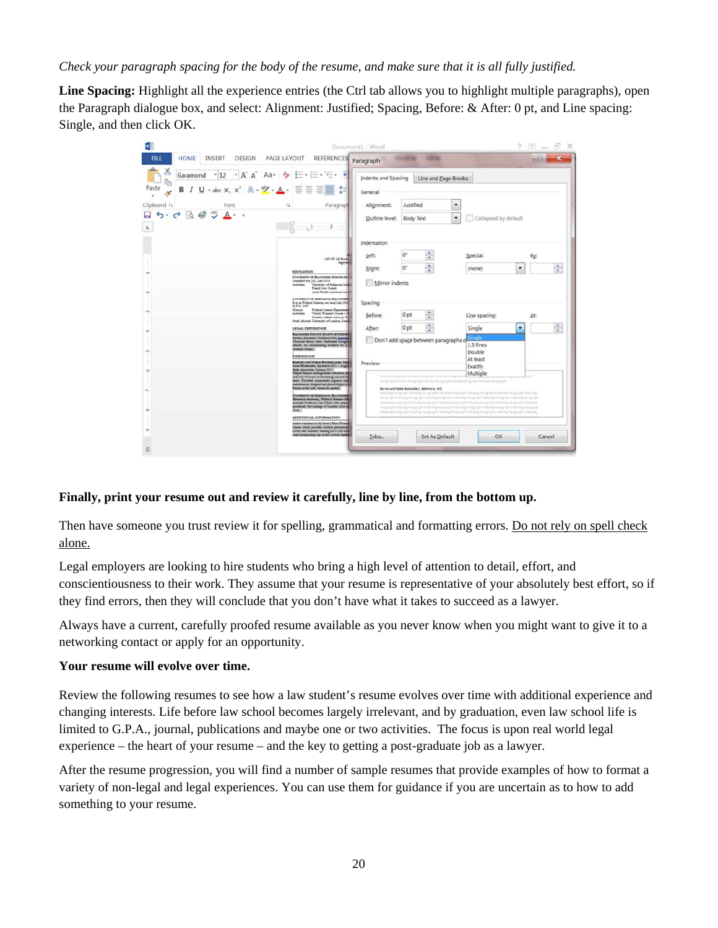*Check your paragraph spacing for the body of the resume, and make sure that it is all fully justified.* 

**Line Spacing:** Highlight all the experience entries (the Ctrl tab allows you to highlight multiple paragraphs), open the Paragraph dialogue box, and select: Alignment: Justified; Spacing, Before: & After: 0 pt, and Line spacing: Single, and then click OK.

| w                                                                                                                                                                                                                                                                                                                                                                                                                                                                                                                                                                                                                                                                                                                                                                                                                                      | FX<br>团<br>Document1 - Word                                                                                                                                                                                                                                                                                                                                                                                                                                                                                                                                                                                                                                    |
|----------------------------------------------------------------------------------------------------------------------------------------------------------------------------------------------------------------------------------------------------------------------------------------------------------------------------------------------------------------------------------------------------------------------------------------------------------------------------------------------------------------------------------------------------------------------------------------------------------------------------------------------------------------------------------------------------------------------------------------------------------------------------------------------------------------------------------------|----------------------------------------------------------------------------------------------------------------------------------------------------------------------------------------------------------------------------------------------------------------------------------------------------------------------------------------------------------------------------------------------------------------------------------------------------------------------------------------------------------------------------------------------------------------------------------------------------------------------------------------------------------------|
| <b>FILE</b><br>PAGE LAYOUT<br>REFERENCES<br><b>HOME</b><br>INSERT<br>DESIGN                                                                                                                                                                                                                                                                                                                                                                                                                                                                                                                                                                                                                                                                                                                                                            | <b>STER</b><br>Paragraph                                                                                                                                                                                                                                                                                                                                                                                                                                                                                                                                                                                                                                       |
| X<br>Ap<br>$E - E - E - 6$<br>A.<br>Aa-<br>$-12$<br>$\Delta$<br>Garamond<br>Paste<br>$U - abc X, X'$ $A - Y - A -$<br>医芸酒<br>в<br>$\overline{I}$<br>Clipboard F.<br>Font<br>$\sqrt{2}$<br>Paragrap<br>85<br>$A -$<br>$5 - c$<br>ы<br>٠<br>L<br>$-1111$                                                                                                                                                                                                                                                                                                                                                                                                                                                                                                                                                                                 | Indents and Spacing<br>Line and Page Breaks<br>General<br>Justified<br>$\overline{\phantom{a}}$<br>Alignment:<br>Collapsed by default<br>Qutline level:<br><b>Body Text</b><br>$\overline{\phantom{0}}$                                                                                                                                                                                                                                                                                                                                                                                                                                                        |
| 1201 W. 10 Sard<br><b>Ingv</b><br><b>EDUCATION</b><br>UNIVERSITY OF BALTIMORE SCHOOL OF<br>Casdalere for 120, 1der 2018<br>University of Baltimore Stud<br><b>Artistas</b><br>Family Law Socialty<br>Asian Pattilo Aguastran Land<br>$\sim$<br>CHIVEREEY OF MARILAND, BALTONING                                                                                                                                                                                                                                                                                                                                                                                                                                                                                                                                                        | Indentation<br>÷<br>o"<br>Left<br>By:<br>Special:<br>$\hat{\mathbb{I}}$<br>÷<br>O"<br>$\cdot$<br><b>Right:</b><br>(none)<br>Mirror indents                                                                                                                                                                                                                                                                                                                                                                                                                                                                                                                     |
| B.A. in Felderal Science, new Jack, May 2018<br>Q3A/234<br><b>Himney</b><br>Political Science Departma<br>m<br>Vancer Women's Some - Q<br><b>Articles</b><br><b>Student Address Admission Co</b><br>Stufr Abovad University of London, London<br>LEGAL EXPERIENCE<br>$\mathbf{u}$<br><b>BALTIMORE COUNTY FIATE'S ATTORNEY</b><br><b>James, Dennesic Violence Club Support</b><br>Chuarnd bliner tods. Performed builder<br>deathy say inconsuming widease for a)<br><b>Linker virture</b><br>w<br><b>EXPERIENCE</b><br><b>BARNES AND NORCE BOOKSELLERS, THIS</b><br>Lead Booksaller, September 2011 - Aug.<br>False Associate, Summer 2011<br>ى<br>Helped Research second products with relative<br>and over 42 hours a week thang resonal?<br>hind. Provided consistently superior on<br>concreasure, throughout and placed displays, | Spacing<br>¢<br>0 pt<br>Before:<br>Line spacing:<br>At<br>÷<br>÷<br>0 pt<br>After:<br>Single<br>۰<br>Single<br>Don't add space between paragraphs of<br>1.5 lines<br>Double<br>At least<br>Preview<br>Exactly<br>Multiple<br>Photosis Persgreath freshive Persgreath President Persgreath<br>Fairing leath Brinniand Partigraph Resident Partigraph Reviews Partial American Partial Relatively                                                                                                                                                                                                                                                                |
| finists in the rath, whenever needed.<br>$\sim$<br>UNIVERSITY OF MARYLAND, BALTINOR<br>Research Amintons; Political Actionis De<br>Ausiated Patchman Los Vetter with seven<br>pendonly the versage of Lucesta Libra a<br>œ<br>ADDITIONAL INFORMATION<br>Artist vehicles at Mr Sate's Place Women<br>Course which purchase exterious purcessions<br>o.<br>stones and massedly testating fits a 100C van<br>sweb backgreising tely in the Secretal highlight<br>$\circ$                                                                                                                                                                                                                                                                                                                                                                  | Barnes and Noble Booksellers, Baltimore, MO<br>Following Assegment Address Personals Address processes Following Foregroup Astowing Ne apitals Following<br>Paragraph Fallowing Paragraph Polizoning Paragraph-Following Paragraph Following Paragraph Following Paragraph<br>Although Factors and Asteving Fereigned Pollowing Perspress Autowing Perspress Following Perspress Autowing<br>Persgraph Following Persgraph Pollowing Parsgraph Aoliniang Escapsys Following Persgraph Aoliowing Persgraph<br>Astoning Perigraph Poloning Paragraph Policing Perigraph Policing Perigraph Poloning Peragraph Poloning<br>Set As Default<br>OK<br>Tabs<br>Cancel |

# **Finally, print your resume out and review it carefully, line by line, from the bottom up.**

Then have someone you trust review it for spelling, grammatical and formatting errors. Do not rely on spell check alone.

Legal employers are looking to hire students who bring a high level of attention to detail, effort, and conscientiousness to their work. They assume that your resume is representative of your absolutely best effort, so if they find errors, then they will conclude that you don't have what it takes to succeed as a lawyer.

Always have a current, carefully proofed resume available as you never know when you might want to give it to a networking contact or apply for an opportunity.

## **Your resume will evolve over time.**

Review the following resumes to see how a law student's resume evolves over time with additional experience and changing interests. Life before law school becomes largely irrelevant, and by graduation, even law school life is limited to G.P.A., journal, publications and maybe one or two activities. The focus is upon real world legal experience – the heart of your resume – and the key to getting a post-graduate job as a lawyer.

After the resume progression, you will find a number of sample resumes that provide examples of how to format a variety of non-legal and legal experiences. You can use them for guidance if you are uncertain as to how to add something to your resume.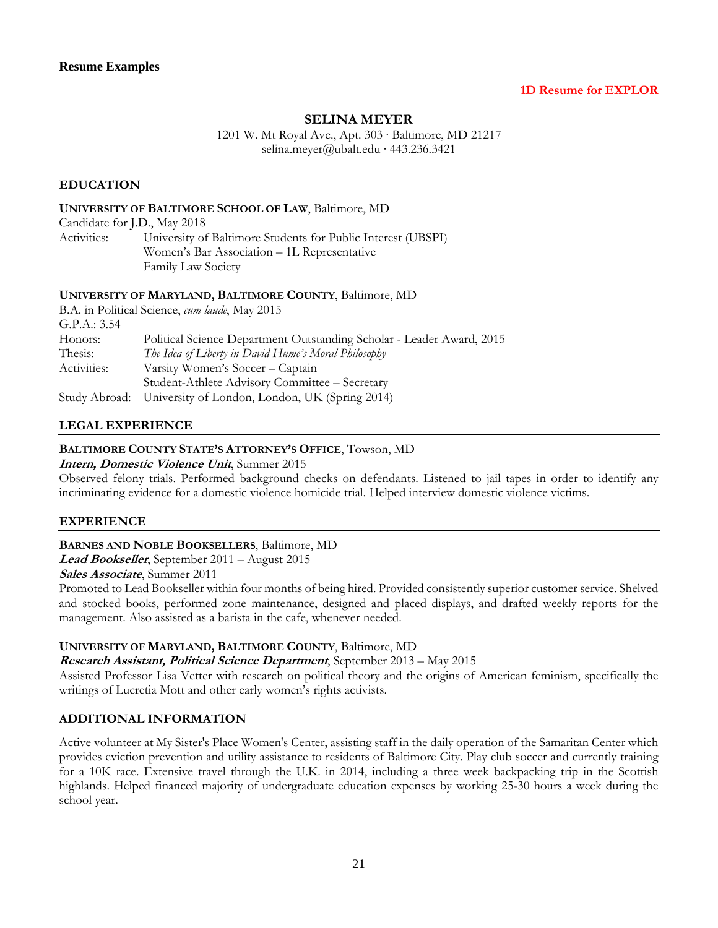## **1D Resume for EXPLOR**

## **SELINA MEYER**

1201 W. Mt Royal Ave., Apt. 303 · Baltimore, MD 21217 selina.meyer@ubalt.edu · 443.236.3421

## **EDUCATION**

#### **UNIVERSITY OF BALTIMORE SCHOOL OF LAW**, Baltimore, MD

Candidate for J.D., May 2018

Activities: University of Baltimore Students for Public Interest (UBSPI) Women's Bar Association – 1L Representative Family Law Society

#### **UNIVERSITY OF MARYLAND, BALTIMORE COUNTY**, Baltimore, MD

|              | B.A. in Political Science, cum laude, May 2015                        |
|--------------|-----------------------------------------------------------------------|
| G.P.A.: 3.54 |                                                                       |
| Honors:      | Political Science Department Outstanding Scholar - Leader Award, 2015 |
| Thesis:      | The Idea of Liberty in David Hume's Moral Philosophy                  |
| Activities:  | Varsity Women's Soccer - Captain                                      |
|              | Student-Athlete Advisory Committee - Secretary                        |
|              | Study Abroad: University of London, London, UK (Spring 2014)          |

#### **LEGAL EXPERIENCE**

#### **BALTIMORE COUNTY STATE'S ATTORNEY'S OFFICE**, Towson, MD

#### **Intern, Domestic Violence Unit**, Summer 2015

Observed felony trials. Performed background checks on defendants. Listened to jail tapes in order to identify any incriminating evidence for a domestic violence homicide trial. Helped interview domestic violence victims.

#### **EXPERIENCE**

#### **BARNES AND NOBLE BOOKSELLERS**, Baltimore, MD

**Lead Bookseller**, September 2011 – August 2015

**Sales Associate**, Summer 2011

Promoted to Lead Bookseller within four months of being hired. Provided consistently superior customer service. Shelved and stocked books, performed zone maintenance, designed and placed displays, and drafted weekly reports for the management. Also assisted as a barista in the cafe, whenever needed.

#### **UNIVERSITY OF MARYLAND, BALTIMORE COUNTY**, Baltimore, MD

#### **Research Assistant, Political Science Department**, September 2013 – May 2015

Assisted Professor Lisa Vetter with research on political theory and the origins of American feminism, specifically the writings of Lucretia Mott and other early women's rights activists.

## **ADDITIONAL INFORMATION**

Active volunteer at My Sister's Place Women's Center, assisting staff in the daily operation of the Samaritan Center which provides eviction prevention and utility assistance to residents of Baltimore City. Play club soccer and currently training for a 10K race. Extensive travel through the U.K. in 2014, including a three week backpacking trip in the Scottish highlands. Helped financed majority of undergraduate education expenses by working 25-30 hours a week during the school year.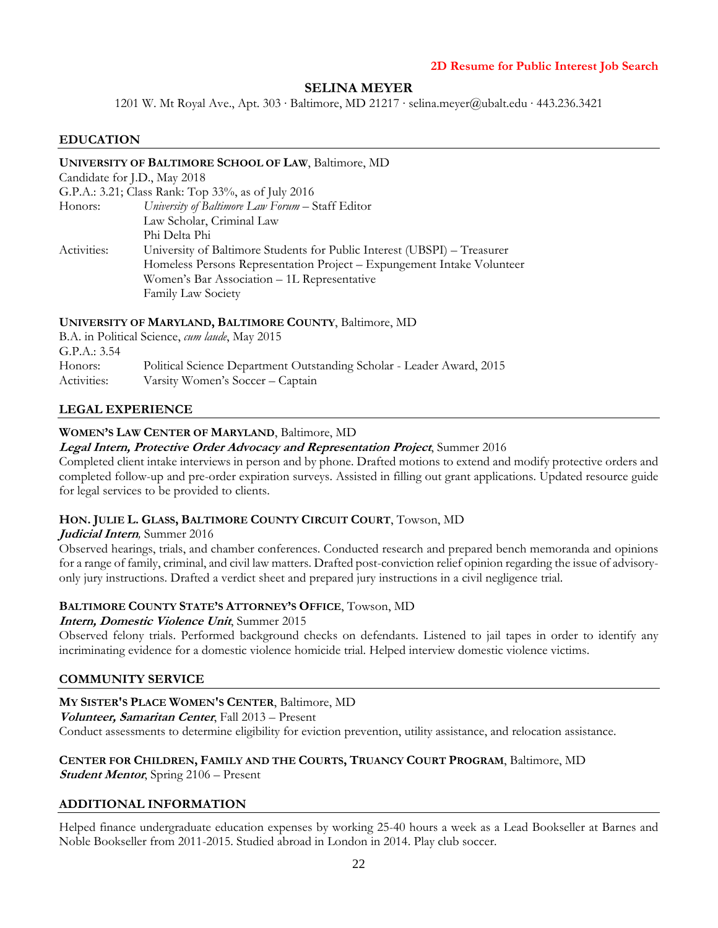#### **2D Resume for Public Interest Job Search**

# **SELINA MEYER**

1201 W. Mt Royal Ave., Apt. 303 · Baltimore, MD 21217 · selina.meyer@ubalt.edu · 443.236.3421

## **EDUCATION**

#### **UNIVERSITY OF BALTIMORE SCHOOL OF LAW**, Baltimore, MD

| Candidate for J.D., May 2018 |                                                                          |
|------------------------------|--------------------------------------------------------------------------|
|                              | G.P.A.: 3.21; Class Rank: Top 33%, as of July 2016                       |
| Honors:                      | University of Baltimore Law Forum - Staff Editor                         |
|                              | Law Scholar, Criminal Law                                                |
|                              | Phi Delta Phi                                                            |
| Activities:                  | University of Baltimore Students for Public Interest (UBSPI) – Treasurer |
|                              | Homeless Persons Representation Project – Expungement Intake Volunteer   |
|                              | Women's Bar Association - 1L Representative                              |
|                              | Family Law Society                                                       |
|                              |                                                                          |

#### **UNIVERSITY OF MARYLAND, BALTIMORE COUNTY**, Baltimore, MD

|              | B.A. in Political Science, cum laude, May 2015                        |
|--------------|-----------------------------------------------------------------------|
| G.P.A.: 3.54 |                                                                       |
| Honors:      | Political Science Department Outstanding Scholar - Leader Award, 2015 |
| Activities:  | Varsity Women's Soccer – Captain                                      |

## **LEGAL EXPERIENCE**

## **WOMEN'S LAW CENTER OF MARYLAND**, Baltimore, MD

#### **Legal Intern, Protective Order Advocacy and Representation Project**, Summer 2016

Completed client intake interviews in person and by phone. Drafted motions to extend and modify protective orders and completed follow-up and pre-order expiration surveys. Assisted in filling out grant applications. Updated resource guide for legal services to be provided to clients.

## **HON. JULIE L. GLASS, BALTIMORE COUNTY CIRCUIT COURT**, Towson, MD

#### **Judicial Intern***,* Summer 2016

Observed hearings, trials, and chamber conferences. Conducted research and prepared bench memoranda and opinions for a range of family, criminal, and civil law matters. Drafted post-conviction relief opinion regarding the issue of advisoryonly jury instructions. Drafted a verdict sheet and prepared jury instructions in a civil negligence trial.

#### **BALTIMORE COUNTY STATE'S ATTORNEY'S OFFICE**, Towson, MD

#### **Intern, Domestic Violence Unit**, Summer 2015

Observed felony trials. Performed background checks on defendants. Listened to jail tapes in order to identify any incriminating evidence for a domestic violence homicide trial. Helped interview domestic violence victims.

#### **COMMUNITY SERVICE**

#### **MY SISTER'S PLACE WOMEN'S CENTER**, Baltimore, MD

**Volunteer, Samaritan Center**, Fall 2013 – Present

Conduct assessments to determine eligibility for eviction prevention, utility assistance, and relocation assistance.

### **CENTER FOR CHILDREN, FAMILY AND THE COURTS, TRUANCY COURT PROGRAM**, Baltimore, MD **Student Mentor**, Spring 2106 – Present

#### **ADDITIONAL INFORMATION**

Helped finance undergraduate education expenses by working 25-40 hours a week as a Lead Bookseller at Barnes and Noble Bookseller from 2011-2015. Studied abroad in London in 2014. Play club soccer.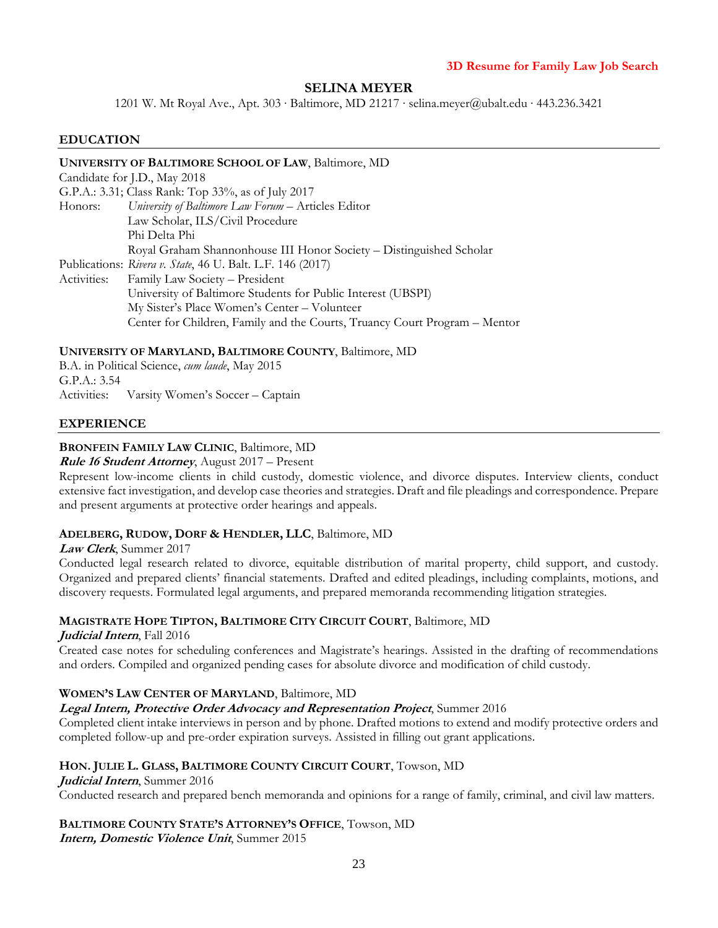## **3D Resume for Family Law Job Search**

# **SELINA MEYER**

1201 W. Mt Royal Ave., Apt. 303 · Baltimore, MD 21217 · selina.meyer@ubalt.edu · 443.236.3421

## **EDUCATION**

#### **UNIVERSITY OF BALTIMORE SCHOOL OF LAW**, Baltimore, MD

Candidate for J.D., May 2018 G.P.A.: 3.31; Class Rank: Top 33%, as of July 2017 Honors: *University of Baltimore Law Forum* – Articles Editor Law Scholar, ILS/Civil Procedure Phi Delta Phi Royal Graham Shannonhouse III Honor Society – Distinguished Scholar Publications: *Rivera v. State*, 46 U. Balt. L.F. 146 (2017) Activities: Family Law Society – President University of Baltimore Students for Public Interest (UBSPI) My Sister's Place Women's Center – Volunteer Center for Children, Family and the Courts, Truancy Court Program – Mentor

**UNIVERSITY OF MARYLAND, BALTIMORE COUNTY**, Baltimore, MD

B.A. in Political Science, *cum laude*, May 2015 G.P.A.: 3.54 Activities: Varsity Women's Soccer – Captain

## **EXPERIENCE**

## **BRONFEIN FAMILY LAW CLINIC**, Baltimore, MD

#### **Rule 16 Student Attorney**, August 2017 – Present

Represent low-income clients in child custody, domestic violence, and divorce disputes. Interview clients, conduct extensive fact investigation, and develop case theories and strategies. Draft and file pleadings and correspondence. Prepare and present arguments at protective order hearings and appeals.

#### **ADELBERG, RUDOW, DORF & HENDLER, LLC**, Baltimore, MD

#### **Law Clerk**, Summer 2017

Conducted legal research related to divorce, equitable distribution of marital property, child support, and custody. Organized and prepared clients' financial statements. Drafted and edited pleadings, including complaints, motions, and discovery requests. Formulated legal arguments, and prepared memoranda recommending litigation strategies.

#### **MAGISTRATE HOPE TIPTON, BALTIMORE CITY CIRCUIT COURT**, Baltimore, MD

#### **Judicial Intern**, Fall 2016

Created case notes for scheduling conferences and Magistrate's hearings. Assisted in the drafting of recommendations and orders. Compiled and organized pending cases for absolute divorce and modification of child custody.

#### **WOMEN'S LAW CENTER OF MARYLAND**, Baltimore, MD

#### **Legal Intern, Protective Order Advocacy and Representation Project**, Summer 2016

Completed client intake interviews in person and by phone. Drafted motions to extend and modify protective orders and completed follow-up and pre-order expiration surveys. Assisted in filling out grant applications.

#### **HON. JULIE L. GLASS, BALTIMORE COUNTY CIRCUIT COURT**, Towson, MD

#### **Judicial Intern**, Summer 2016

Conducted research and prepared bench memoranda and opinions for a range of family, criminal, and civil law matters.

#### **BALTIMORE COUNTY STATE'S ATTORNEY'S OFFICE**, Towson, MD

**Intern, Domestic Violence Unit**, Summer 2015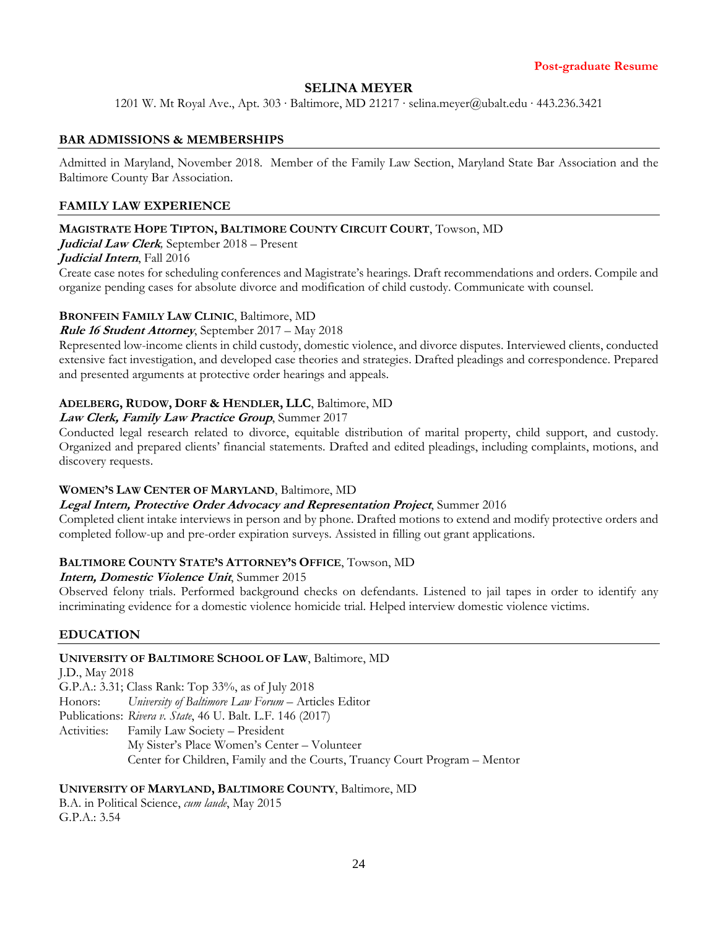## **SELINA MEYER**

1201 W. Mt Royal Ave., Apt. 303 · Baltimore, MD 21217 · selina.meyer@ubalt.edu · 443.236.3421

## **BAR ADMISSIONS & MEMBERSHIPS**

Admitted in Maryland, November 2018. Member of the Family Law Section, Maryland State Bar Association and the Baltimore County Bar Association.

## **FAMILY LAW EXPERIENCE**

#### **MAGISTRATE HOPE TIPTON, BALTIMORE COUNTY CIRCUIT COURT**, Towson, MD

**Judicial Law Clerk***,* September 2018 – Present

#### **Judicial Intern**, Fall 2016

Create case notes for scheduling conferences and Magistrate's hearings. Draft recommendations and orders. Compile and organize pending cases for absolute divorce and modification of child custody. Communicate with counsel.

## **BRONFEIN FAMILY LAW CLINIC**, Baltimore, MD

#### **Rule 16 Student Attorney**, September 2017 – May 2018

Represented low-income clients in child custody, domestic violence, and divorce disputes. Interviewed clients, conducted extensive fact investigation, and developed case theories and strategies. Drafted pleadings and correspondence. Prepared and presented arguments at protective order hearings and appeals.

## **ADELBERG, RUDOW, DORF & HENDLER, LLC**, Baltimore, MD

#### **Law Clerk, Family Law Practice Group**, Summer 2017

Conducted legal research related to divorce, equitable distribution of marital property, child support, and custody. Organized and prepared clients' financial statements. Drafted and edited pleadings, including complaints, motions, and discovery requests.

#### **WOMEN'S LAW CENTER OF MARYLAND**, Baltimore, MD

#### **Legal Intern, Protective Order Advocacy and Representation Project**, Summer 2016

Completed client intake interviews in person and by phone. Drafted motions to extend and modify protective orders and completed follow-up and pre-order expiration surveys. Assisted in filling out grant applications.

## **BALTIMORE COUNTY STATE'S ATTORNEY'S OFFICE**, Towson, MD

#### **Intern, Domestic Violence Unit**, Summer 2015

Observed felony trials. Performed background checks on defendants. Listened to jail tapes in order to identify any incriminating evidence for a domestic violence homicide trial. Helped interview domestic violence victims.

#### **EDUCATION**

#### **UNIVERSITY OF BALTIMORE SCHOOL OF LAW**, Baltimore, MD

J.D., May 2018

G.P.A.: 3.31; Class Rank: Top 33%, as of July 2018

Honors: *University of Baltimore Law Forum* – Articles Editor

Publications: *Rivera v. State*, 46 U. Balt. L.F. 146 (2017)

Activities: Family Law Society – President

 My Sister's Place Women's Center – Volunteer Center for Children, Family and the Courts, Truancy Court Program – Mentor

#### **UNIVERSITY OF MARYLAND, BALTIMORE COUNTY**, Baltimore, MD

B.A. in Political Science, *cum laude*, May 2015 G.P.A.: 3.54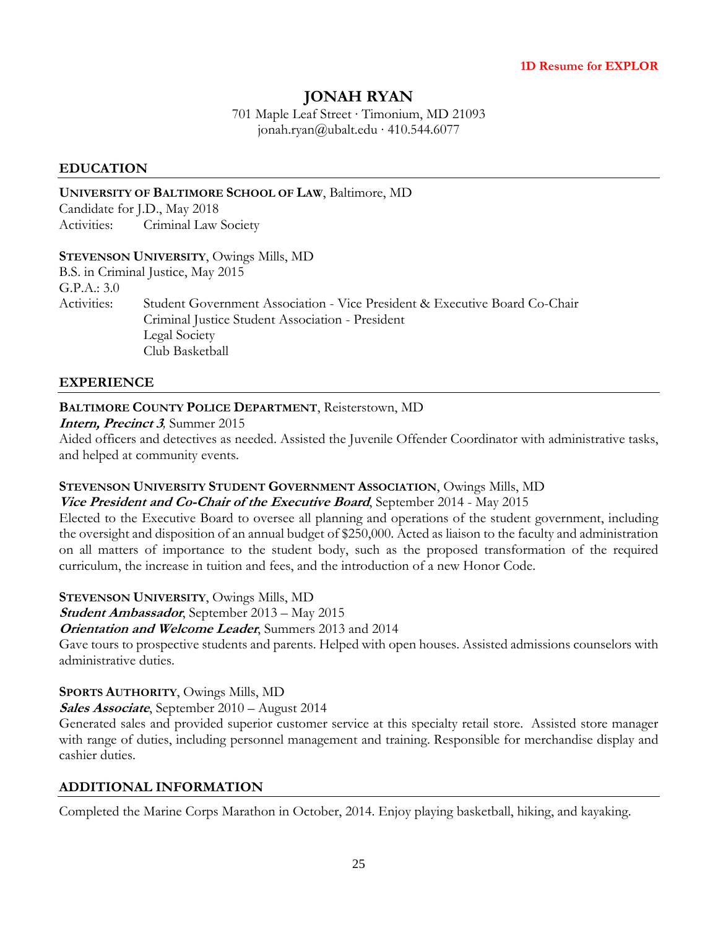# **JONAH RYAN**

701 Maple Leaf Street · Timonium, MD 21093 jonah.ryan@ubalt.edu · 410.544.6077

# **EDUCATION**

# **UNIVERSITY OF BALTIMORE SCHOOL OF LAW**, Baltimore, MD

Candidate for J.D., May 2018 Activities: Criminal Law Society

# **STEVENSON UNIVERSITY**, Owings Mills, MD

B.S. in Criminal Justice, May 2015 G.P.A.: 3.0 Activities: Student Government Association - Vice President & Executive Board Co-Chair Criminal Justice Student Association - President Legal Society Club Basketball

# **EXPERIENCE**

# **BALTIMORE COUNTY POLICE DEPARTMENT**, Reisterstown, MD

## **Intern, Precinct 3***,* Summer 2015

Aided officers and detectives as needed. Assisted the Juvenile Offender Coordinator with administrative tasks, and helped at community events.

# **STEVENSON UNIVERSITY STUDENT GOVERNMENT ASSOCIATION**, Owings Mills, MD **Vice President and Co-Chair of the Executive Board**, September 2014 - May 2015

Elected to the Executive Board to oversee all planning and operations of the student government, including the oversight and disposition of an annual budget of \$250,000. Acted as liaison to the faculty and administration on all matters of importance to the student body, such as the proposed transformation of the required curriculum, the increase in tuition and fees, and the introduction of a new Honor Code.

**STEVENSON UNIVERSITY**, Owings Mills, MD

**Student Ambassador**, September 2013 – May 2015

**Orientation and Welcome Leader**, Summers 2013 and 2014

Gave tours to prospective students and parents. Helped with open houses. Assisted admissions counselors with administrative duties.

# **SPORTS AUTHORITY**, Owings Mills, MD

**Sales Associate**, September 2010 – August 2014

Generated sales and provided superior customer service at this specialty retail store. Assisted store manager with range of duties, including personnel management and training. Responsible for merchandise display and cashier duties.

# **ADDITIONAL INFORMATION**

Completed the Marine Corps Marathon in October, 2014. Enjoy playing basketball, hiking, and kayaking.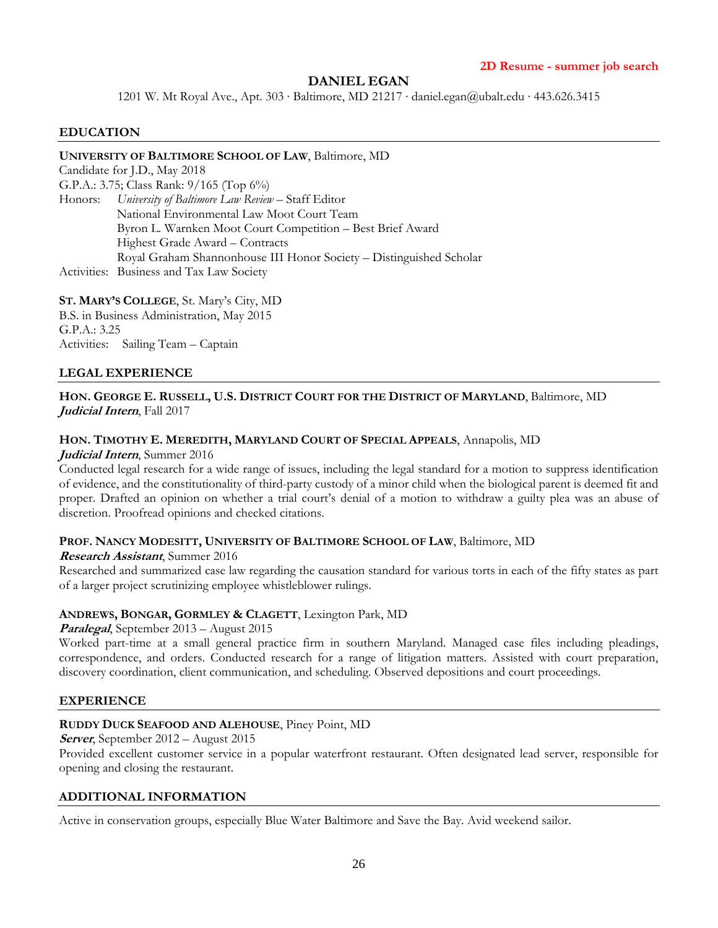#### **2D Resume - summer job search**

# **DANIEL EGAN**

1201 W. Mt Royal Ave., Apt. 303 · Baltimore, MD 21217 · daniel.egan@ubalt.edu · 443.626.3415

## **EDUCATION**

#### **UNIVERSITY OF BALTIMORE SCHOOL OF LAW**, Baltimore, MD

Candidate for J.D., May 2018 G.P.A.: 3.75; Class Rank: 9/165 (Top 6%) Honors: *University of Baltimore Law Review* – Staff Editor National Environmental Law Moot Court Team Byron L. Warnken Moot Court Competition – Best Brief Award Highest Grade Award – Contracts Royal Graham Shannonhouse III Honor Society – Distinguished Scholar Activities: Business and Tax Law Society

**ST. MARY'S COLLEGE**, St. Mary's City, MD B.S. in Business Administration, May 2015 G.P.A.: 3.25 Activities: Sailing Team – Captain

## **LEGAL EXPERIENCE**

## **HON. GEORGE E. RUSSELL, U.S. DISTRICT COURT FOR THE DISTRICT OF MARYLAND**, Baltimore, MD **Judicial Intern**, Fall 2017

#### **HON. TIMOTHY E. MEREDITH, MARYLAND COURT OF SPECIAL APPEALS**, Annapolis, MD

#### **Judicial Intern**, Summer 2016

Conducted legal research for a wide range of issues, including the legal standard for a motion to suppress identification of evidence, and the constitutionality of third-party custody of a minor child when the biological parent is deemed fit and proper. Drafted an opinion on whether a trial court's denial of a motion to withdraw a guilty plea was an abuse of discretion. Proofread opinions and checked citations.

#### **PROF. NANCY MODESITT, UNIVERSITY OF BALTIMORE SCHOOL OF LAW**, Baltimore, MD

#### **Research Assistant**, Summer 2016

Researched and summarized case law regarding the causation standard for various torts in each of the fifty states as part of a larger project scrutinizing employee whistleblower rulings.

#### **ANDREWS, BONGAR, GORMLEY & CLAGETT**, Lexington Park, MD

#### **Paralegal**, September 2013 – August 2015

Worked part-time at a small general practice firm in southern Maryland. Managed case files including pleadings, correspondence, and orders. Conducted research for a range of litigation matters. Assisted with court preparation, discovery coordination, client communication, and scheduling. Observed depositions and court proceedings.

#### **EXPERIENCE**

#### **RUDDY DUCK SEAFOOD AND ALEHOUSE**, Piney Point, MD

**Server**, September 2012 – August 2015

Provided excellent customer service in a popular waterfront restaurant. Often designated lead server, responsible for opening and closing the restaurant.

## **ADDITIONAL INFORMATION**

Active in conservation groups, especially Blue Water Baltimore and Save the Bay. Avid weekend sailor.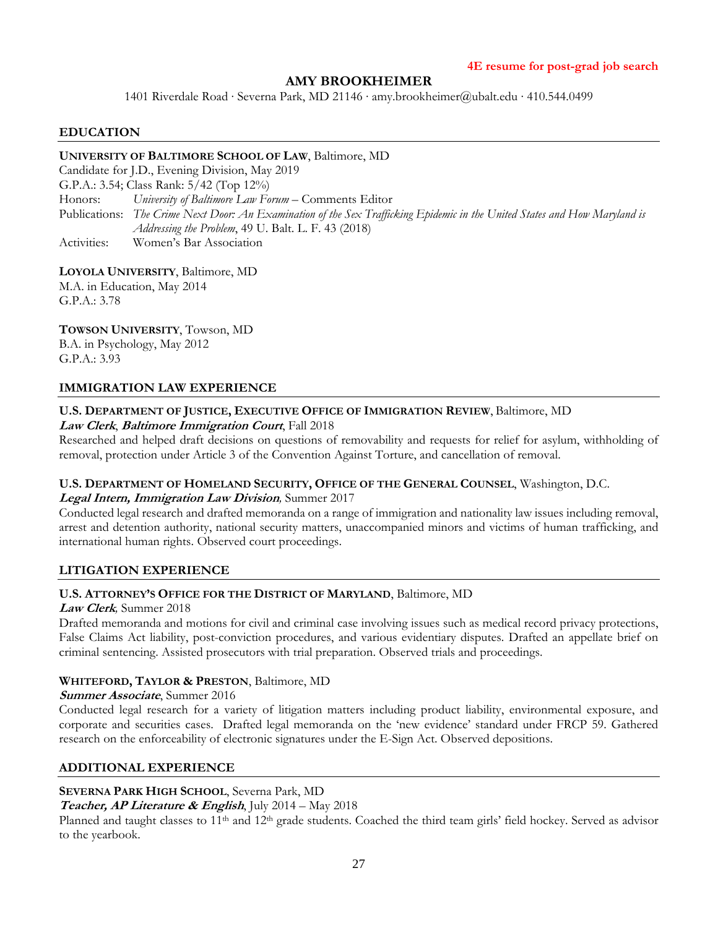#### **4E resume for post-grad job search**

# **AMY BROOKHEIMER**

1401 Riverdale Road · Severna Park, MD 21146 · amy.brookheimer@ubalt.edu · 410.544.0499

## **EDUCATION**

### **UNIVERSITY OF BALTIMORE SCHOOL OF LAW**, Baltimore, MD

Candidate for J.D., Evening Division, May 2019 G.P.A.: 3.54; Class Rank: 5/42 (Top 12%) Honors: *University of Baltimore Law Forum* – Comments Editor Publications: *The Crime Next Door: An Examination of the Sex Trafficking Epidemic in the United States and How Maryland is Addressing the Problem*, 49 U. Balt. L. F. 43 (2018) Activities: Women's Bar Association

## **LOYOLA UNIVERSITY**, Baltimore, MD

M.A. in Education, May 2014 G.P.A.: 3.78

# **TOWSON UNIVERSITY**, Towson, MD

B.A. in Psychology, May 2012 G.P.A.: 3.93

# **IMMIGRATION LAW EXPERIENCE**

# **U.S. DEPARTMENT OF JUSTICE, EXECUTIVE OFFICE OF IMMIGRATION REVIEW**, Baltimore, MD

## **Law Clerk**, **Baltimore Immigration Court**, Fall 2018

Researched and helped draft decisions on questions of removability and requests for relief for asylum, withholding of removal, protection under Article 3 of the Convention Against Torture, and cancellation of removal.

# **U.S. DEPARTMENT OF HOMELAND SECURITY, OFFICE OF THE GENERAL COUNSEL**, Washington, D.C.

## **Legal Intern, Immigration Law Division***,* Summer 2017

Conducted legal research and drafted memoranda on a range of immigration and nationality law issues including removal, arrest and detention authority, national security matters, unaccompanied minors and victims of human trafficking, and international human rights. Observed court proceedings.

# **LITIGATION EXPERIENCE**

## **U.S. ATTORNEY'S OFFICE FOR THE DISTRICT OF MARYLAND**, Baltimore, MD

## **Law Clerk***,* Summer 2018

Drafted memoranda and motions for civil and criminal case involving issues such as medical record privacy protections, False Claims Act liability, post-conviction procedures, and various evidentiary disputes. Drafted an appellate brief on criminal sentencing. Assisted prosecutors with trial preparation. Observed trials and proceedings.

## **WHITEFORD, TAYLOR & PRESTON**, Baltimore, MD

## **Summer Associate**, Summer 2016

Conducted legal research for a variety of litigation matters including product liability, environmental exposure, and corporate and securities cases. Drafted legal memoranda on the 'new evidence' standard under FRCP 59. Gathered research on the enforceability of electronic signatures under the E-Sign Act. Observed depositions.

## **ADDITIONAL EXPERIENCE**

# **SEVERNA PARK HIGH SCHOOL**, Severna Park, MD

**Teacher, AP Literature & English**, July 2014 – May 2018

Planned and taught classes to 11<sup>th</sup> and 12<sup>th</sup> grade students. Coached the third team girls' field hockey. Served as advisor to the yearbook.